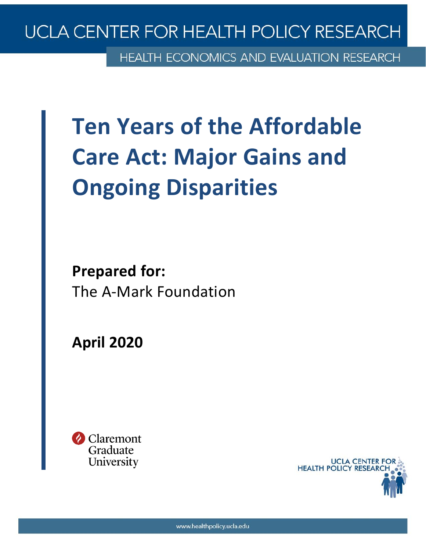# UCLA CENTER FOR HEALTH POLICY RESEARCH

**HEALTH ECONOMICS AND EVALUATION RESEARCH** 

# **Ten Years of the Affordable Care Act: Major Gains and Ongoing Disparities**

**Prepared for:** The A-Mark Foundation

**April 2020**



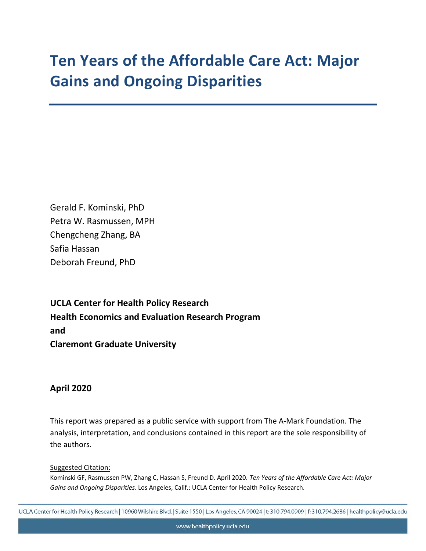# **Ten Years of the Affordable Care Act: Major Gains and Ongoing Disparities**

Gerald F. Kominski, PhD Petra W. Rasmussen, MPH Chengcheng Zhang, BA Safia Hassan Deborah Freund, PhD

**UCLA Center for Health Policy Research Health Economics and Evaluation Research Program and Claremont Graduate University** 

#### **April 2020**

This report was prepared as a public service with support from The A-Mark Foundation. The analysis, interpretation, and conclusions contained in this report are the sole responsibility of the authors.

Suggested Citation:

Kominski GF, Rasmussen PW, Zhang C, Hassan S, Freund D. April 2020. *Ten Years of the Affordable Care Act: Major Gains and Ongoing Disparities*. Los Angeles, Calif.: UCLA Center for Health Policy Research.

UCLA Center for Health Policy Research | 10960 Wilshire Blvd. | Suite 1550 | Los Angeles, CA 90024 | t: 310.794.0909 | f: 310.794.2686 | healthpolicy@ucla.edu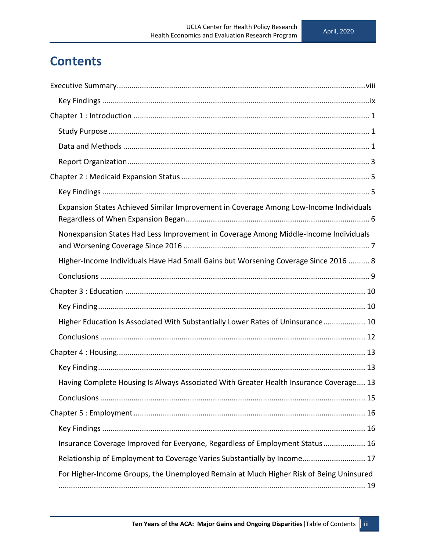# **Contents**

| Expansion States Achieved Similar Improvement in Coverage Among Low-Income Individuals |
|----------------------------------------------------------------------------------------|
| Nonexpansion States Had Less Improvement in Coverage Among Middle-Income Individuals   |
| Higher-Income Individuals Have Had Small Gains but Worsening Coverage Since 2016  8    |
|                                                                                        |
|                                                                                        |
|                                                                                        |
| Higher Education Is Associated With Substantially Lower Rates of Uninsurance 10        |
|                                                                                        |
|                                                                                        |
|                                                                                        |
| Having Complete Housing Is Always Associated With Greater Health Insurance Coverage 13 |
|                                                                                        |
|                                                                                        |
|                                                                                        |
| Insurance Coverage Improved for Everyone, Regardless of Employment Status 16           |
| Relationship of Employment to Coverage Varies Substantially by Income 17               |
| For Higher-Income Groups, the Unemployed Remain at Much Higher Risk of Being Uninsured |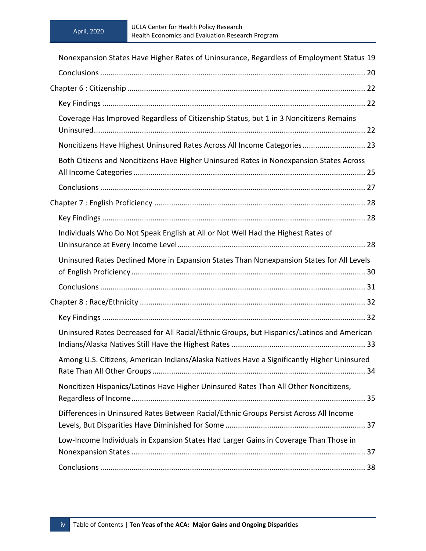| Nonexpansion States Have Higher Rates of Uninsurance, Regardless of Employment Status 19   |  |
|--------------------------------------------------------------------------------------------|--|
|                                                                                            |  |
|                                                                                            |  |
|                                                                                            |  |
| Coverage Has Improved Regardless of Citizenship Status, but 1 in 3 Noncitizens Remains     |  |
| Noncitizens Have Highest Uninsured Rates Across All Income Categories 23                   |  |
| Both Citizens and Noncitizens Have Higher Uninsured Rates in Nonexpansion States Across    |  |
|                                                                                            |  |
|                                                                                            |  |
|                                                                                            |  |
| Individuals Who Do Not Speak English at All or Not Well Had the Highest Rates of           |  |
| Uninsured Rates Declined More in Expansion States Than Nonexpansion States for All Levels  |  |
|                                                                                            |  |
|                                                                                            |  |
|                                                                                            |  |
| Uninsured Rates Decreased for All Racial/Ethnic Groups, but Hispanics/Latinos and American |  |
| Among U.S. Citizens, American Indians/Alaska Natives Have a Significantly Higher Uninsured |  |
| Noncitizen Hispanics/Latinos Have Higher Uninsured Rates Than All Other Noncitizens,       |  |
| Differences in Uninsured Rates Between Racial/Ethnic Groups Persist Across All Income      |  |
| Low-Income Individuals in Expansion States Had Larger Gains in Coverage Than Those in      |  |
|                                                                                            |  |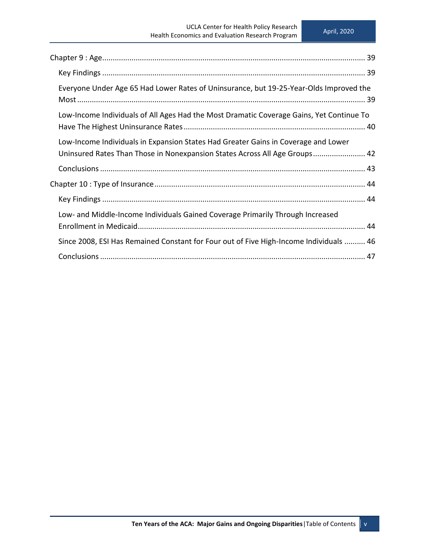| Everyone Under Age 65 Had Lower Rates of Uninsurance, but 19-25-Year-Olds Improved the                                                                           |
|------------------------------------------------------------------------------------------------------------------------------------------------------------------|
| Low-Income Individuals of All Ages Had the Most Dramatic Coverage Gains, Yet Continue To                                                                         |
| Low-Income Individuals in Expansion States Had Greater Gains in Coverage and Lower<br>Uninsured Rates Than Those in Nonexpansion States Across All Age Groups 42 |
|                                                                                                                                                                  |
|                                                                                                                                                                  |
|                                                                                                                                                                  |
| Low- and Middle-Income Individuals Gained Coverage Primarily Through Increased                                                                                   |
| Since 2008, ESI Has Remained Constant for Four out of Five High-Income Individuals  46                                                                           |
|                                                                                                                                                                  |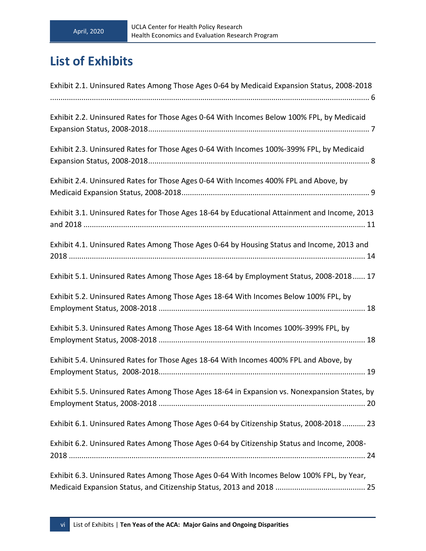# **List of Exhibits**

| Exhibit 2.1. Uninsured Rates Among Those Ages 0-64 by Medicaid Expansion Status, 2008-2018   |
|----------------------------------------------------------------------------------------------|
| Exhibit 2.2. Uninsured Rates for Those Ages 0-64 With Incomes Below 100% FPL, by Medicaid    |
| Exhibit 2.3. Uninsured Rates for Those Ages 0-64 With Incomes 100%-399% FPL, by Medicaid     |
| Exhibit 2.4. Uninsured Rates for Those Ages 0-64 With Incomes 400% FPL and Above, by         |
| Exhibit 3.1. Uninsured Rates for Those Ages 18-64 by Educational Attainment and Income, 2013 |
| Exhibit 4.1. Uninsured Rates Among Those Ages 0-64 by Housing Status and Income, 2013 and    |
| Exhibit 5.1. Uninsured Rates Among Those Ages 18-64 by Employment Status, 2008-2018 17       |
| Exhibit 5.2. Uninsured Rates Among Those Ages 18-64 With Incomes Below 100% FPL, by          |
| Exhibit 5.3. Uninsured Rates Among Those Ages 18-64 With Incomes 100%-399% FPL, by           |
| Exhibit 5.4. Uninsured Rates for Those Ages 18-64 With Incomes 400% FPL and Above, by        |
| Exhibit 5.5. Uninsured Rates Among Those Ages 18-64 in Expansion vs. Nonexpansion States, by |
| Exhibit 6.1. Uninsured Rates Among Those Ages 0-64 by Citizenship Status, 2008-2018 23       |
| Exhibit 6.2. Uninsured Rates Among Those Ages 0-64 by Citizenship Status and Income, 2008-   |
| Exhibit 6.3. Uninsured Rates Among Those Ages 0-64 With Incomes Below 100% FPL, by Year,     |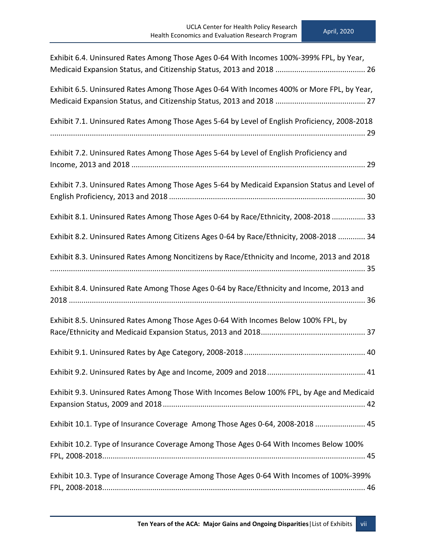| Exhibit 6.4. Uninsured Rates Among Those Ages 0-64 With Incomes 100%-399% FPL, by Year,       |
|-----------------------------------------------------------------------------------------------|
|                                                                                               |
| Exhibit 6.5. Uninsured Rates Among Those Ages 0-64 With Incomes 400% or More FPL, by Year,    |
|                                                                                               |
| Exhibit 7.1. Uninsured Rates Among Those Ages 5-64 by Level of English Proficiency, 2008-2018 |
|                                                                                               |
| Exhibit 7.2. Uninsured Rates Among Those Ages 5-64 by Level of English Proficiency and        |
|                                                                                               |
| Exhibit 7.3. Uninsured Rates Among Those Ages 5-64 by Medicaid Expansion Status and Level of  |
|                                                                                               |
| Exhibit 8.1. Uninsured Rates Among Those Ages 0-64 by Race/Ethnicity, 2008-2018  33           |
|                                                                                               |
| Exhibit 8.2. Uninsured Rates Among Citizens Ages 0-64 by Race/Ethnicity, 2008-2018  34        |
| Exhibit 8.3. Uninsured Rates Among Noncitizens by Race/Ethnicity and Income, 2013 and 2018    |
|                                                                                               |
| Exhibit 8.4. Uninsured Rate Among Those Ages 0-64 by Race/Ethnicity and Income, 2013 and      |
|                                                                                               |
| Exhibit 8.5. Uninsured Rates Among Those Ages 0-64 With Incomes Below 100% FPL, by            |
|                                                                                               |
|                                                                                               |
|                                                                                               |
|                                                                                               |
| Exhibit 9.3. Uninsured Rates Among Those With Incomes Below 100% FPL, by Age and Medicaid     |
|                                                                                               |
| Exhibit 10.1. Type of Insurance Coverage Among Those Ages 0-64, 2008-2018  45                 |
| Exhibit 10.2. Type of Insurance Coverage Among Those Ages 0-64 With Incomes Below 100%        |
|                                                                                               |
| Exhibit 10.3. Type of Insurance Coverage Among Those Ages 0-64 With Incomes of 100%-399%      |
|                                                                                               |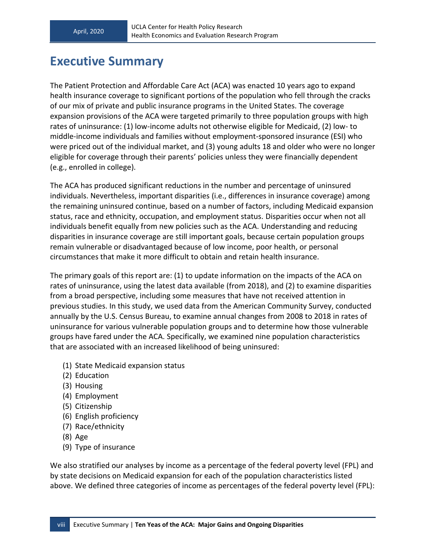# <span id="page-7-0"></span>**Executive Summary**

The Patient Protection and Affordable Care Act (ACA) was enacted 10 years ago to expand health insurance coverage to significant portions of the population who fell through the cracks of our mix of private and public insurance programs in the United States. The coverage expansion provisions of the ACA were targeted primarily to three population groups with high rates of uninsurance: (1) low-income adults not otherwise eligible for Medicaid, (2) low- to middle-income individuals and families without employment-sponsored insurance (ESI) who were priced out of the individual market, and (3) young adults 18 and older who were no longer eligible for coverage through their parents' policies unless they were financially dependent (e.g., enrolled in college).

The ACA has produced significant reductions in the number and percentage of uninsured individuals. Nevertheless, important disparities (i.e., differences in insurance coverage) among the remaining uninsured continue, based on a number of factors, including Medicaid expansion status, race and ethnicity, occupation, and employment status. Disparities occur when not all individuals benefit equally from new policies such as the ACA. Understanding and reducing disparities in insurance coverage are still important goals, because certain population groups remain vulnerable or disadvantaged because of low income, poor health, or personal circumstances that make it more difficult to obtain and retain health insurance.

The primary goals of this report are: (1) to update information on the impacts of the ACA on rates of uninsurance, using the latest data available (from 2018), and (2) to examine disparities from a broad perspective, including some measures that have not received attention in previous studies. In this study, we used data from the American Community Survey, conducted annually by the U.S. Census Bureau, to examine annual changes from 2008 to 2018 in rates of uninsurance for various vulnerable population groups and to determine how those vulnerable groups have fared under the ACA. Specifically, we examined nine population characteristics that are associated with an increased likelihood of being uninsured:

- (1) State Medicaid expansion status
- (2) Education
- (3) Housing
- (4) Employment
- (5) Citizenship
- (6) English proficiency
- (7) Race/ethnicity
- (8) Age
- (9) Type of insurance

We also stratified our analyses by income as a percentage of the federal poverty level (FPL) and by state decisions on Medicaid expansion for each of the population characteristics listed above. We defined three categories of income as percentages of the federal poverty level (FPL):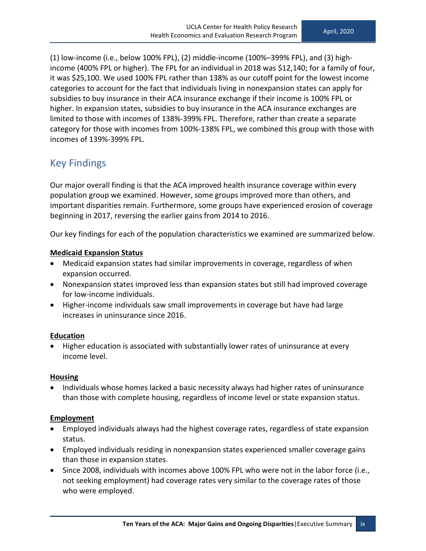(1) low-income (i.e., below 100% FPL), (2) middle-income (100%–399% FPL), and (3) highincome (400% FPL or higher). The FPL for an individual in 2018 was \$12,140; for a family of four, it was \$25,100. We used 100% FPL rather than 138% as our cutoff point for the lowest income categories to account for the fact that individuals living in nonexpansion states can apply for subsidies to buy insurance in their ACA insurance exchange if their income is 100% FPL or higher. In expansion states, subsidies to buy insurance in the ACA insurance exchanges are limited to those with incomes of 138%-399% FPL. Therefore, rather than create a separate category for those with incomes from 100%-138% FPL, we combined this group with those with incomes of 139%-399% FPL.

#### <span id="page-8-0"></span>Key Findings

Our major overall finding is that the ACA improved health insurance coverage within every population group we examined. However, some groups improved more than others, and important disparities remain. Furthermore, some groups have experienced erosion of coverage beginning in 2017, reversing the earlier gains from 2014 to 2016.

Our key findings for each of the population characteristics we examined are summarized below.

#### **Medicaid Expansion Status**

- Medicaid expansion states had similar improvements in coverage, regardless of when expansion occurred.
- Nonexpansion states improved less than expansion states but still had improved coverage for low-income individuals.
- Higher-income individuals saw small improvements in coverage but have had large increases in uninsurance since 2016.

#### **Education**

• Higher education is associated with substantially lower rates of uninsurance at every income level.

#### **Housing**

• Individuals whose homes lacked a basic necessity always had higher rates of uninsurance than those with complete housing, regardless of income level or state expansion status.

#### **Employment**

- Employed individuals always had the highest coverage rates, regardless of state expansion status.
- Employed individuals residing in nonexpansion states experienced smaller coverage gains than those in expansion states.
- Since 2008, individuals with incomes above 100% FPL who were not in the labor force (i.e., not seeking employment) had coverage rates very similar to the coverage rates of those who were employed.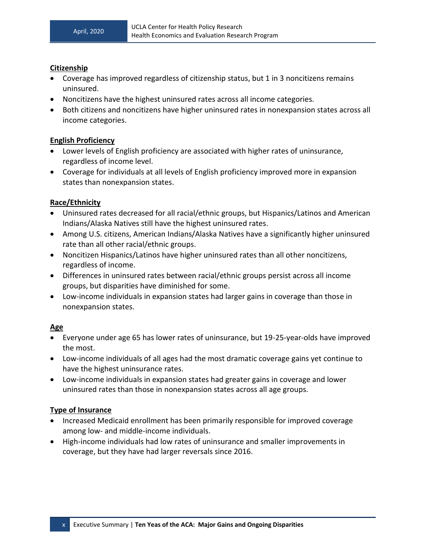#### **Citizenship**

- Coverage has improved regardless of citizenship status, but 1 in 3 noncitizens remains uninsured.
- Noncitizens have the highest uninsured rates across all income categories.
- Both citizens and noncitizens have higher uninsured rates in nonexpansion states across all income categories.

#### **English Proficiency**

- Lower levels of English proficiency are associated with higher rates of uninsurance, regardless of income level.
- Coverage for individuals at all levels of English proficiency improved more in expansion states than nonexpansion states.

#### **Race/Ethnicity**

- Uninsured rates decreased for all racial/ethnic groups, but Hispanics/Latinos and American Indians/Alaska Natives still have the highest uninsured rates.
- Among U.S. citizens, American Indians/Alaska Natives have a significantly higher uninsured rate than all other racial/ethnic groups.
- Noncitizen Hispanics/Latinos have higher uninsured rates than all other noncitizens, regardless of income.
- Differences in uninsured rates between racial/ethnic groups persist across all income groups, but disparities have diminished for some.
- Low-income individuals in expansion states had larger gains in coverage than those in nonexpansion states.

#### **Age**

- Everyone under age 65 has lower rates of uninsurance, but 19-25-year-olds have improved the most.
- Low-income individuals of all ages had the most dramatic coverage gains yet continue to have the highest uninsurance rates.
- Low-income individuals in expansion states had greater gains in coverage and lower uninsured rates than those in nonexpansion states across all age groups.

#### **Type of Insurance**

- Increased Medicaid enrollment has been primarily responsible for improved coverage among low- and middle-income individuals.
- High-income individuals had low rates of uninsurance and smaller improvements in coverage, but they have had larger reversals since 2016.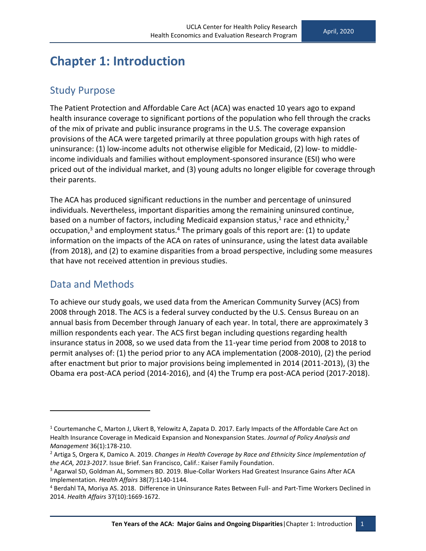# <span id="page-10-0"></span>**Chapter 1: Introduction**

#### <span id="page-10-1"></span>Study Purpose

The Patient Protection and Affordable Care Act (ACA) was enacted 10 years ago to expand health insurance coverage to significant portions of the population who fell through the cracks of the mix of private and public insurance programs in the U.S. The coverage expansion provisions of the ACA were targeted primarily at three population groups with high rates of uninsurance: (1) low-income adults not otherwise eligible for Medicaid, (2) low- to middleincome individuals and families without employment-sponsored insurance (ESI) who were priced out of the individual market, and (3) young adults no longer eligible for coverage through their parents.

The ACA has produced significant reductions in the number and percentage of uninsured individuals. Nevertheless, important disparities among the remaining uninsured continue, based on a number of factors, including Medicaid expansion status,<sup>1</sup> race and ethnicity,<sup>2</sup> occupation,<sup>3</sup> and employment status.<sup>4</sup> The primary goals of this report are: (1) to update information on the impacts of the ACA on rates of uninsurance, using the latest data available (from 2018), and (2) to examine disparities from a broad perspective, including some measures that have not received attention in previous studies.

#### <span id="page-10-2"></span>Data and Methods

To achieve our study goals, we used data from the American Community Survey (ACS) from 2008 through 2018. The ACS is a federal survey conducted by the U.S. Census Bureau on an annual basis from December through January of each year. In total, there are approximately 3 million respondents each year. The ACS first began including questions regarding health insurance status in 2008, so we used data from the 11-year time period from 2008 to 2018 to permit analyses of: (1) the period prior to any ACA implementation (2008-2010), (2) the period after enactment but prior to major provisions being implemented in 2014 (2011-2013), (3) the Obama era post-ACA period (2014-2016), and (4) the Trump era post-ACA period (2017-2018).

<sup>1</sup> Courtemanche C, Marton J, Ukert B, Yelowitz A, Zapata D. 2017. Early Impacts of the Affordable Care Act on Health Insurance Coverage in Medicaid Expansion and Nonexpansion States. *Journal of Policy Analysis and Management* 36(1):178-210.

<sup>2</sup> Artiga S, Orgera K, Damico A. 2019. *Changes in Health Coverage by Race and Ethnicity Since Implementation of the ACA, 2013-2017*. Issue Brief. San Francisco, Calif.: Kaiser Family Foundation.

<sup>3</sup> Agarwal SD, Goldman AL, Sommers BD. 2019. Blue-Collar Workers Had Greatest Insurance Gains After ACA Implementation*. Health Affairs* 38(7):1140-1144.

<sup>4</sup> Berdahl TA, Moriya AS. 2018. Difference in Uninsurance Rates Between Full- and Part-Time Workers Declined in 2014. *Health Affairs* 37(10):1669-1672.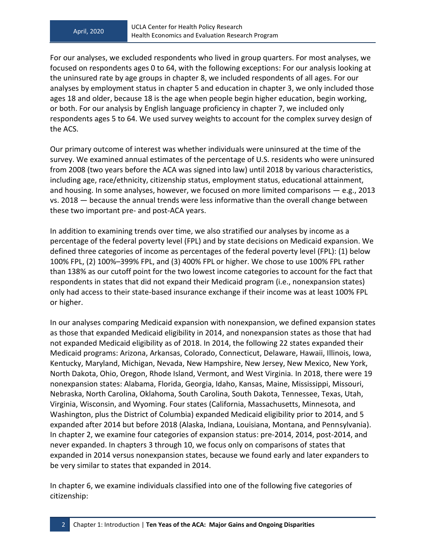For our analyses, we excluded respondents who lived in group quarters. For most analyses, we focused on respondents ages 0 to 64, with the following exceptions: For our analysis looking at the uninsured rate by age groups in chapter 8, we included respondents of all ages. For our analyses by employment status in chapter 5 and education in chapter 3, we only included those ages 18 and older, because 18 is the age when people begin higher education, begin working, or both. For our analysis by English language proficiency in chapter 7, we included only respondents ages 5 to 64. We used survey weights to account for the complex survey design of the ACS.

Our primary outcome of interest was whether individuals were uninsured at the time of the survey. We examined annual estimates of the percentage of U.S. residents who were uninsured from 2008 (two years before the ACA was signed into law) until 2018 by various characteristics, including age, race/ethnicity, citizenship status, employment status, educational attainment, and housing. In some analyses, however, we focused on more limited comparisons — e.g., 2013 vs. 2018 — because the annual trends were less informative than the overall change between these two important pre- and post-ACA years.

In addition to examining trends over time, we also stratified our analyses by income as a percentage of the federal poverty level (FPL) and by state decisions on Medicaid expansion. We defined three categories of income as percentages of the federal poverty level (FPL): (1) below 100% FPL, (2) 100%–399% FPL, and (3) 400% FPL or higher. We chose to use 100% FPL rather than 138% as our cutoff point for the two lowest income categories to account for the fact that respondents in states that did not expand their Medicaid program (i.e., nonexpansion states) only had access to their state-based insurance exchange if their income was at least 100% FPL or higher.

In our analyses comparing Medicaid expansion with nonexpansion, we defined expansion states as those that expanded Medicaid eligibility in 2014, and nonexpansion states as those that had not expanded Medicaid eligibility as of 2018. In 2014, the following 22 states expanded their Medicaid programs: Arizona, Arkansas, Colorado, Connecticut, Delaware, Hawaii, Illinois, Iowa, Kentucky, Maryland, Michigan, Nevada, New Hampshire, New Jersey, New Mexico, New York, North Dakota, Ohio, Oregon, Rhode Island, Vermont, and West Virginia. In 2018, there were 19 nonexpansion states: Alabama, Florida, Georgia, Idaho, Kansas, Maine, Mississippi, Missouri, Nebraska, North Carolina, Oklahoma, South Carolina, South Dakota, Tennessee, Texas, Utah, Virginia, Wisconsin, and Wyoming. Four states (California, Massachusetts, Minnesota, and Washington, plus the District of Columbia) expanded Medicaid eligibility prior to 2014, and 5 expanded after 2014 but before 2018 (Alaska, Indiana, Louisiana, Montana, and Pennsylvania). In chapter 2, we examine four categories of expansion status: pre-2014, 2014, post-2014, and never expanded. In chapters 3 through 10, we focus only on comparisons of states that expanded in 2014 versus nonexpansion states, because we found early and later expanders to be very similar to states that expanded in 2014.

In chapter 6, we examine individuals classified into one of the following five categories of citizenship: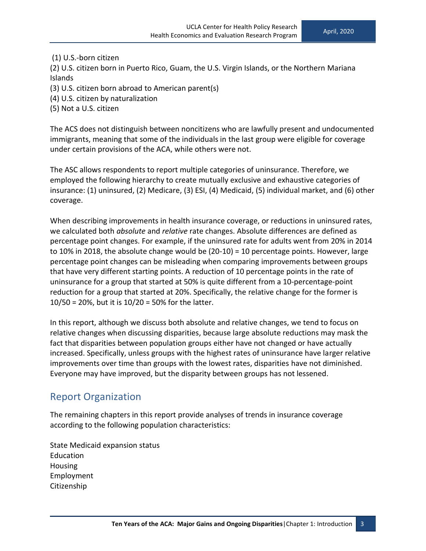#### (1) U.S.-born citizen

(2) U.S. citizen born in Puerto Rico, Guam, the U.S. Virgin Islands, or the Northern Mariana Islands

(3) U.S. citizen born abroad to American parent(s)

- (4) U.S. citizen by naturalization
- (5) Not a U.S. citizen

The ACS does not distinguish between noncitizens who are lawfully present and undocumented immigrants, meaning that some of the individuals in the last group were eligible for coverage under certain provisions of the ACA, while others were not.

The ASC allows respondents to report multiple categories of uninsurance. Therefore, we employed the following hierarchy to create mutually exclusive and exhaustive categories of insurance: (1) uninsured, (2) Medicare, (3) ESI, (4) Medicaid, (5) individual market, and (6) other coverage.

When describing improvements in health insurance coverage, or reductions in uninsured rates, we calculated both *absolute* and *relative* rate changes. Absolute differences are defined as percentage point changes. For example, if the uninsured rate for adults went from 20% in 2014 to 10% in 2018, the absolute change would be (20-10) = 10 percentage points. However, large percentage point changes can be misleading when comparing improvements between groups that have very different starting points. A reduction of 10 percentage points in the rate of uninsurance for a group that started at 50% is quite different from a 10-percentage-point reduction for a group that started at 20%. Specifically, the relative change for the former is 10/50 = 20%, but it is 10/20 = 50% for the latter.

In this report, although we discuss both absolute and relative changes, we tend to focus on relative changes when discussing disparities, because large absolute reductions may mask the fact that disparities between population groups either have not changed or have actually increased. Specifically, unless groups with the highest rates of uninsurance have larger relative improvements over time than groups with the lowest rates, disparities have not diminished. Everyone may have improved, but the disparity between groups has not lessened.

#### <span id="page-12-0"></span>Report Organization

The remaining chapters in this report provide analyses of trends in insurance coverage according to the following population characteristics:

State Medicaid expansion status Education Housing Employment Citizenship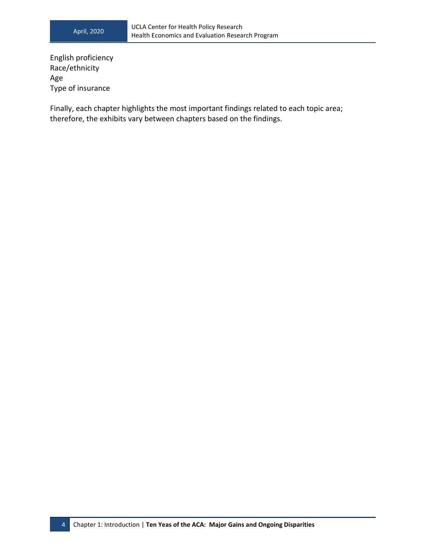English proficiency Race/ethnicity Age Type of insurance

Finally, each chapter highlights the most important findings related to each topic area; therefore, the exhibits vary between chapters based on the findings.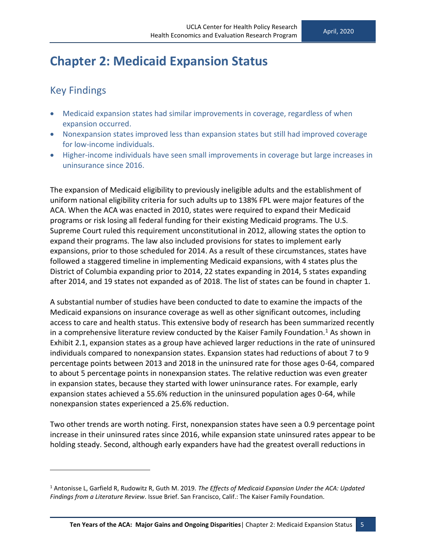### <span id="page-14-0"></span>**Chapter 2: Medicaid Expansion Status**

#### <span id="page-14-1"></span>Key Findings

- Medicaid expansion states had similar improvements in coverage, regardless of when expansion occurred.
- Nonexpansion states improved less than expansion states but still had improved coverage for low-income individuals.
- Higher-income individuals have seen small improvements in coverage but large increases in uninsurance since 2016.

The expansion of Medicaid eligibility to previously ineligible adults and the establishment of uniform national eligibility criteria for such adults up to 138% FPL were major features of the ACA. When the ACA was enacted in 2010, states were required to expand their Medicaid programs or risk losing all federal funding for their existing Medicaid programs. The U.S. Supreme Court ruled this requirement unconstitutional in 2012, allowing states the option to expand their programs. The law also included provisions for states to implement early expansions, prior to those scheduled for 2014. As a result of these circumstances, states have followed a staggered timeline in implementing Medicaid expansions, with 4 states plus the District of Columbia expanding prior to 2014, 22 states expanding in 2014, 5 states expanding after 2014, and 19 states not expanded as of 2018. The list of states can be found in chapter 1.

A substantial number of studies have been conducted to date to examine the impacts of the Medicaid expansions on insurance coverage as well as other significant outcomes, including access to care and health status. This extensive body of research has been summarized recently in a comprehensive literature review conducted by the Kaiser Family Foundation.<sup>1</sup> As shown in Exhibit 2.1, expansion states as a group have achieved larger reductions in the rate of uninsured individuals compared to nonexpansion states. Expansion states had reductions of about 7 to 9 percentage points between 2013 and 2018 in the uninsured rate for those ages 0-64, compared to about 5 percentage points in nonexpansion states. The relative reduction was even greater in expansion states, because they started with lower uninsurance rates. For example, early expansion states achieved a 55.6% reduction in the uninsured population ages 0-64, while nonexpansion states experienced a 25.6% reduction.

Two other trends are worth noting. First, nonexpansion states have seen a 0.9 percentage point increase in their uninsured rates since 2016, while expansion state uninsured rates appear to be holding steady. Second, although early expanders have had the greatest overall reductions in

<sup>1</sup> Antonisse L, Garfield R, Rudowitz R, Guth M. 2019. *The Effects of Medicaid Expansion Under the ACA: Updated Findings from a Literature Review*. Issue Brief. San Francisco, Calif.: The Kaiser Family Foundation.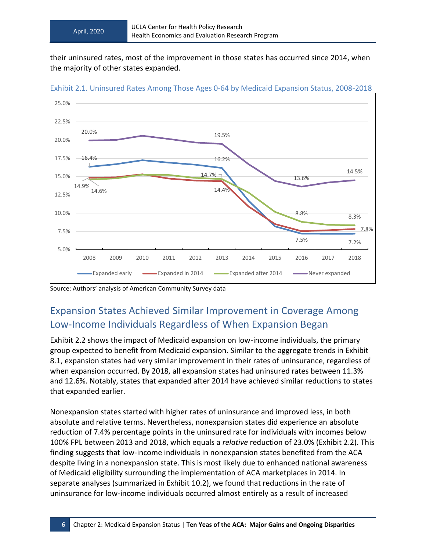their uninsured rates, most of the improvement in those states has occurred since 2014, when the majority of other states expanded.



Exhibit 2.1. Uninsured Rates Among Those Ages 0-64 by Medicaid Expansion Status, 2008-2018

<span id="page-15-0"></span>Source: Authors' analysis of American Community Survey data

### Expansion States Achieved Similar Improvement in Coverage Among Low-Income Individuals Regardless of When Expansion Began

Exhibit 2.2 shows the impact of Medicaid expansion on low-income individuals, the primary group expected to benefit from Medicaid expansion. Similar to the aggregate trends in Exhibit 8.1, expansion states had very similar improvement in their rates of uninsurance, regardless of when expansion occurred. By 2018, all expansion states had uninsured rates between 11.3% and 12.6%. Notably, states that expanded after 2014 have achieved similar reductions to states that expanded earlier.

Nonexpansion states started with higher rates of uninsurance and improved less, in both absolute and relative terms. Nevertheless, nonexpansion states did experience an absolute reduction of 7.4% percentage points in the uninsured rate for individuals with incomes below 100% FPL between 2013 and 2018, which equals a *relative* reduction of 23.0% (Exhibit 2.2). This finding suggests that low-income individuals in nonexpansion states benefited from the ACA despite living in a nonexpansion state. This is most likely due to enhanced national awareness of Medicaid eligibility surrounding the implementation of ACA marketplaces in 2014. In separate analyses (summarized in Exhibit 10.2), we found that reductions in the rate of uninsurance for low-income individuals occurred almost entirely as a result of increased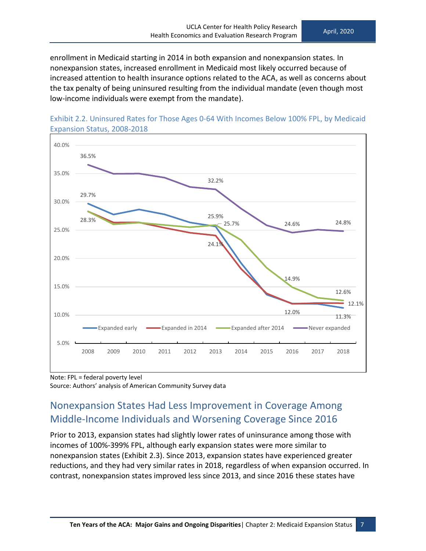enrollment in Medicaid starting in 2014 in both expansion and nonexpansion states*.* In nonexpansion states, increased enrollment in Medicaid most likely occurred because of increased attention to health insurance options related to the ACA, as well as concerns about the tax penalty of being uninsured resulting from the individual mandate (even though most low-income individuals were exempt from the mandate).





Note: FPL = federal poverty level Source: Authors' analysis of American Community Survey data

### <span id="page-16-0"></span>Nonexpansion States Had Less Improvement in Coverage Among Middle-Income Individuals and Worsening Coverage Since 2016

Prior to 2013, expansion states had slightly lower rates of uninsurance among those with incomes of 100%-399% FPL, although early expansion states were more similar to nonexpansion states (Exhibit 2.3). Since 2013, expansion states have experienced greater reductions, and they had very similar rates in 2018, regardless of when expansion occurred. In contrast, nonexpansion states improved less since 2013, and since 2016 these states have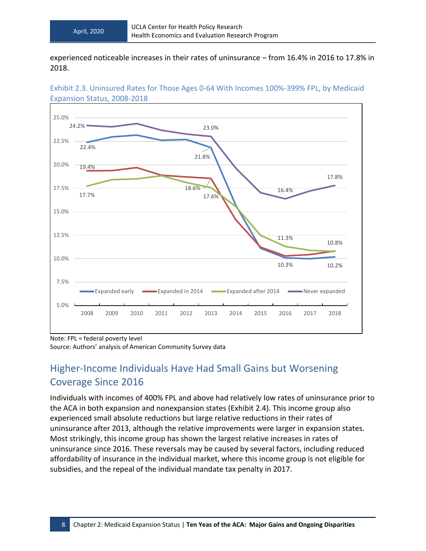experienced noticeable increases in their rates of uninsurance – from 16.4% in 2016 to 17.8% in 2018.



Exhibit 2.3. Uninsured Rates for Those Ages 0-64 With Incomes 100%-399% FPL, by Medicaid Expansion Status, 2008-2018

Note: FPL = federal poverty level Source: Authors' analysis of American Community Survey data

### <span id="page-17-0"></span>Higher-Income Individuals Have Had Small Gains but Worsening Coverage Since 2016

Individuals with incomes of 400% FPL and above had relatively low rates of uninsurance prior to the ACA in both expansion and nonexpansion states (Exhibit 2.4). This income group also experienced small absolute reductions but large relative reductions in their rates of uninsurance after 2013, although the relative improvements were larger in expansion states. Most strikingly, this income group has shown the largest relative increases in rates of uninsurance since 2016. These reversals may be caused by several factors, including reduced affordability of insurance in the individual market, where this income group is not eligible for subsidies, and the repeal of the individual mandate tax penalty in 2017.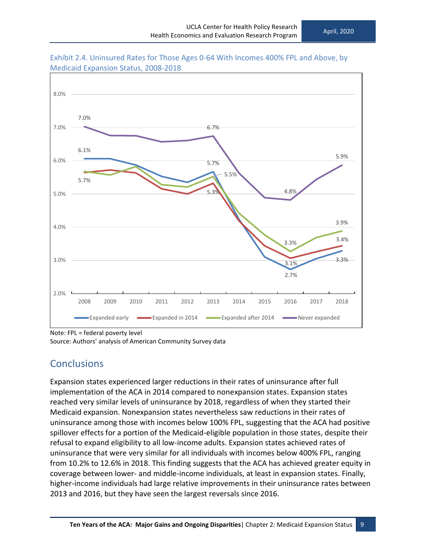

Exhibit 2.4. Uninsured Rates for Those Ages 0-64 With Incomes 400% FPL and Above, by Medicaid Expansion Status, 2008-2018

Note: FPL = federal poverty level Source: Authors' analysis of American Community Survey data

#### <span id="page-18-0"></span>**Conclusions**

Expansion states experienced larger reductions in their rates of uninsurance after full implementation of the ACA in 2014 compared to nonexpansion states. Expansion states reached very similar levels of uninsurance by 2018, regardless of when they started their Medicaid expansion. Nonexpansion states nevertheless saw reductions in their rates of uninsurance among those with incomes below 100% FPL, suggesting that the ACA had positive spillover effects for a portion of the Medicaid-eligible population in those states, despite their refusal to expand eligibility to all low-income adults. Expansion states achieved rates of uninsurance that were very similar for all individuals with incomes below 400% FPL, ranging from 10.2% to 12.6% in 2018. This finding suggests that the ACA has achieved greater equity in coverage between lower- and middle-income individuals, at least in expansion states. Finally, higher-income individuals had large relative improvements in their uninsurance rates between 2013 and 2016, but they have seen the largest reversals since 2016.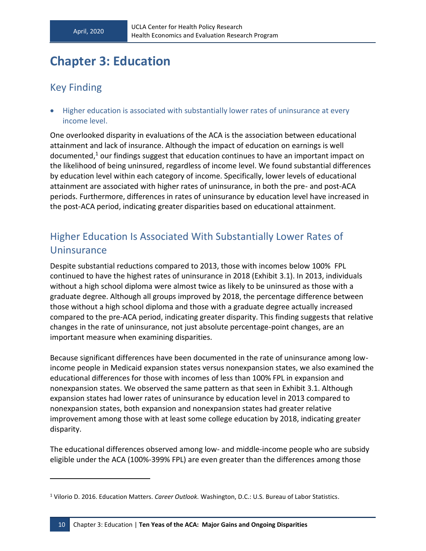# <span id="page-19-0"></span>**Chapter 3: Education**

#### <span id="page-19-1"></span>Key Finding

• Higher education is associated with substantially lower rates of uninsurance at every income level.

One overlooked disparity in evaluations of the ACA is the association between educational attainment and lack of insurance. Although the impact of education on earnings is well documented,<sup>1</sup> our findings suggest that education continues to have an important impact on the likelihood of being uninsured, regardless of income level. We found substantial differences by education level within each category of income. Specifically, lower levels of educational attainment are associated with higher rates of uninsurance, in both the pre- and post-ACA periods. Furthermore, differences in rates of uninsurance by education level have increased in the post-ACA period, indicating greater disparities based on educational attainment.

#### <span id="page-19-2"></span>Higher Education Is Associated With Substantially Lower Rates of **Uninsurance**

Despite substantial reductions compared to 2013, those with incomes below 100% FPL continued to have the highest rates of uninsurance in 2018 (Exhibit 3.1). In 2013, individuals without a high school diploma were almost twice as likely to be uninsured as those with a graduate degree. Although all groups improved by 2018, the percentage difference between those without a high school diploma and those with a graduate degree actually increased compared to the pre-ACA period, indicating greater disparity. This finding suggests that relative changes in the rate of uninsurance, not just absolute percentage-point changes, are an important measure when examining disparities.

Because significant differences have been documented in the rate of uninsurance among lowincome people in Medicaid expansion states versus nonexpansion states, we also examined the educational differences for those with incomes of less than 100% FPL in expansion and nonexpansion states. We observed the same pattern as that seen in Exhibit 3.1. Although expansion states had lower rates of uninsurance by education level in 2013 compared to nonexpansion states, both expansion and nonexpansion states had greater relative improvement among those with at least some college education by 2018, indicating greater disparity.

The educational differences observed among low- and middle-income people who are subsidy eligible under the ACA (100%-399% FPL) are even greater than the differences among those

<sup>1</sup> Vilorio D. 2016. Education Matters. *Career Outlook.* Washington, D.C.: U.S. Bureau of Labor Statistics.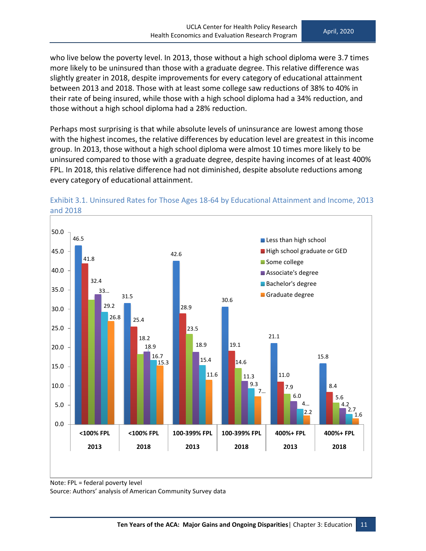who live below the poverty level. In 2013, those without a high school diploma were 3.7 times more likely to be uninsured than those with a graduate degree. This relative difference was slightly greater in 2018, despite improvements for every category of educational attainment between 2013 and 2018. Those with at least some college saw reductions of 38% to 40% in their rate of being insured, while those with a high school diploma had a 34% reduction, and those without a high school diploma had a 28% reduction.

Perhaps most surprising is that while absolute levels of uninsurance are lowest among those with the highest incomes, the relative differences by education level are greatest in this income group. In 2013, those without a high school diploma were almost 10 times more likely to be uninsured compared to those with a graduate degree, despite having incomes of at least 400% FPL. In 2018, this relative difference had not diminished, despite absolute reductions among every category of educational attainment.





Source: Authors' analysis of American Community Survey data

Note: FPL = federal poverty level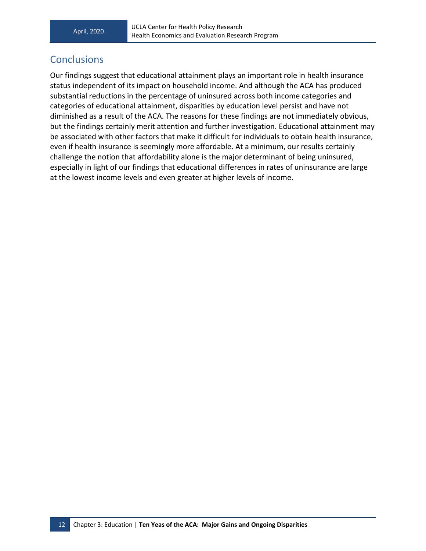#### <span id="page-21-0"></span>**Conclusions**

Our findings suggest that educational attainment plays an important role in health insurance status independent of its impact on household income. And although the ACA has produced substantial reductions in the percentage of uninsured across both income categories and categories of educational attainment, disparities by education level persist and have not diminished as a result of the ACA. The reasons for these findings are not immediately obvious, but the findings certainly merit attention and further investigation. Educational attainment may be associated with other factors that make it difficult for individuals to obtain health insurance, even if health insurance is seemingly more affordable. At a minimum, our results certainly challenge the notion that affordability alone is the major determinant of being uninsured, especially in light of our findings that educational differences in rates of uninsurance are large at the lowest income levels and even greater at higher levels of income.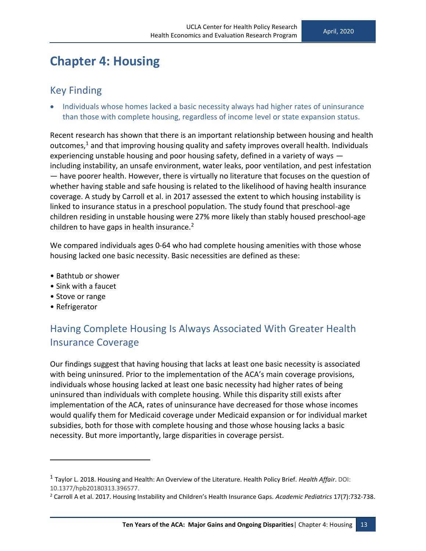# <span id="page-22-0"></span>**Chapter 4: Housing**

#### <span id="page-22-1"></span>Key Finding

• Individuals whose homes lacked a basic necessity always had higher rates of uninsurance than those with complete housing, regardless of income level or state expansion status.

Recent research has shown that there is an important relationship between housing and health outcomes, $<sup>1</sup>$  and that improving housing quality and safety improves overall health. Individuals</sup> experiencing unstable housing and poor housing safety, defined in a variety of ways including instability, an unsafe environment, water leaks, poor ventilation, and pest infestation — have poorer health. However, there is virtually no literature that focuses on the question of whether having stable and safe housing is related to the likelihood of having health insurance coverage. A study by Carroll et al. in 2017 assessed the extent to which housing instability is linked to insurance status in a preschool population. The study found that preschool-age children residing in unstable housing were 27% more likely than stably housed preschool-age children to have gaps in health insurance.<sup>2</sup>

We compared individuals ages 0-64 who had complete housing amenities with those whose housing lacked one basic necessity. Basic necessities are defined as these:

- Bathtub or shower
- Sink with a faucet
- Stove or range
- Refrigerator

### <span id="page-22-2"></span>Having Complete Housing Is Always Associated With Greater Health Insurance Coverage

Our findings suggest that having housing that lacks at least one basic necessity is associated with being uninsured. Prior to the implementation of the ACA's main coverage provisions, individuals whose housing lacked at least one basic necessity had higher rates of being uninsured than individuals with complete housing. While this disparity still exists after implementation of the ACA, rates of uninsurance have decreased for those whose incomes would qualify them for Medicaid coverage under Medicaid expansion or for individual market subsidies, both for those with complete housing and those whose housing lacks a basic necessity. But more importantly, large disparities in coverage persist.

<sup>1</sup> Taylor L. 2018. Housing and Health: An Overview of the Literature. Health Policy Brief. *Health Affair*. DOI: 10.1377/hpb20180313.396577.

<sup>2</sup> Carroll A et al. 2017. Housing Instability and Children's Health Insurance Gaps. *Academic Pediatrics* 17(7):732-738.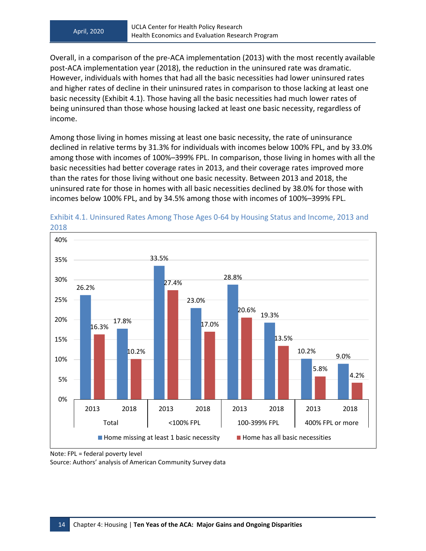Overall, in a comparison of the pre-ACA implementation (2013) with the most recently available post-ACA implementation year (2018), the reduction in the uninsured rate was dramatic. However, individuals with homes that had all the basic necessities had lower uninsured rates and higher rates of decline in their uninsured rates in comparison to those lacking at least one basic necessity (Exhibit 4.1). Those having all the basic necessities had much lower rates of being uninsured than those whose housing lacked at least one basic necessity, regardless of income.

Among those living in homes missing at least one basic necessity, the rate of uninsurance declined in relative terms by 31.3% for individuals with incomes below 100% FPL, and by 33.0% among those with incomes of 100%–399% FPL. In comparison, those living in homes with all the basic necessities had better coverage rates in 2013, and their coverage rates improved more than the rates for those living without one basic necessity. Between 2013 and 2018, the uninsured rate for those in homes with all basic necessities declined by 38.0% for those with incomes below 100% FPL, and by 34.5% among those with incomes of 100%–399% FPL.





Source: Authors' analysis of American Community Survey data

Note: FPL = federal poverty level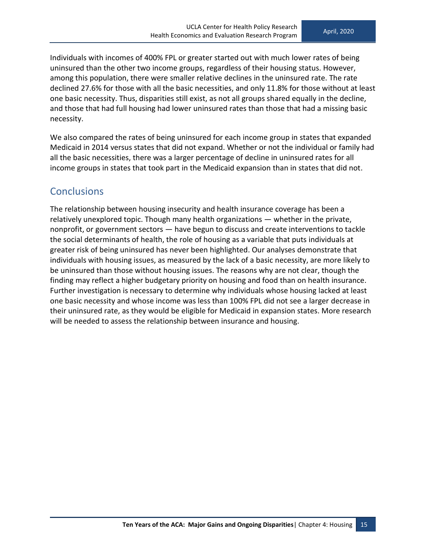Individuals with incomes of 400% FPL or greater started out with much lower rates of being uninsured than the other two income groups, regardless of their housing status. However, among this population, there were smaller relative declines in the uninsured rate. The rate declined 27.6% for those with all the basic necessities, and only 11.8% for those without at least one basic necessity. Thus, disparities still exist, as not all groups shared equally in the decline, and those that had full housing had lower uninsured rates than those that had a missing basic necessity.

We also compared the rates of being uninsured for each income group in states that expanded Medicaid in 2014 versus states that did not expand. Whether or not the individual or family had all the basic necessities, there was a larger percentage of decline in uninsured rates for all income groups in states that took part in the Medicaid expansion than in states that did not.

#### <span id="page-24-0"></span>**Conclusions**

The relationship between housing insecurity and health insurance coverage has been a relatively unexplored topic. Though many health organizations — whether in the private, nonprofit, or government sectors — have begun to discuss and create interventions to tackle the social determinants of health, the role of housing as a variable that puts individuals at greater risk of being uninsured has never been highlighted. Our analyses demonstrate that individuals with housing issues, as measured by the lack of a basic necessity, are more likely to be uninsured than those without housing issues. The reasons why are not clear, though the finding may reflect a higher budgetary priority on housing and food than on health insurance. Further investigation is necessary to determine why individuals whose housing lacked at least one basic necessity and whose income was less than 100% FPL did not see a larger decrease in their uninsured rate, as they would be eligible for Medicaid in expansion states. More research will be needed to assess the relationship between insurance and housing.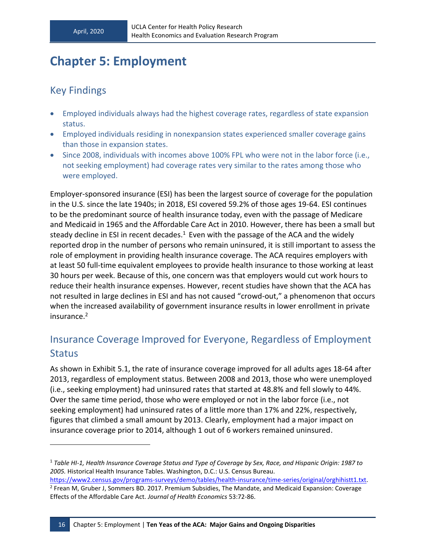# <span id="page-25-0"></span>**Chapter 5: Employment**

#### <span id="page-25-1"></span>Key Findings

- Employed individuals always had the highest coverage rates, regardless of state expansion status.
- Employed individuals residing in nonexpansion states experienced smaller coverage gains than those in expansion states.
- Since 2008, individuals with incomes above 100% FPL who were not in the labor force (i.e., not seeking employment) had coverage rates very similar to the rates among those who were employed.

Employer-sponsored insurance (ESI) has been the largest source of coverage for the population in the U.S. since the late 1940s; in 2018, ESI covered 59.2% of those ages 19-64. ESI continues to be the predominant source of health insurance today, even with the passage of Medicare and Medicaid in 1965 and the Affordable Care Act in 2010. However, there has been a small but steady decline in ESI in recent decades.<sup>1</sup> Even with the passage of the ACA and the widely reported drop in the number of persons who remain uninsured, it is still important to assess the role of employment in providing health insurance coverage. The ACA requires employers with at least 50 full-time equivalent employees to provide health insurance to those working at least 30 hours per week. Because of this, one concern was that employers would cut work hours to reduce their health insurance expenses. However, recent studies have shown that the ACA has not resulted in large declines in ESI and has not caused "crowd-out," a phenomenon that occurs when the increased availability of government insurance results in lower enrollment in private insurance.<sup>2</sup>

### <span id="page-25-2"></span>Insurance Coverage Improved for Everyone, Regardless of Employment **Status**

As shown in Exhibit 5.1, the rate of insurance coverage improved for all adults ages 18-64 after 2013, regardless of employment status. Between 2008 and 2013, those who were unemployed (i.e., seeking employment) had uninsured rates that started at 48.8% and fell slowly to 44%. Over the same time period, those who were employed or not in the labor force (i.e., not seeking employment) had uninsured rates of a little more than 17% and 22%, respectively, figures that climbed a small amount by 2013. Clearly, employment had a major impact on insurance coverage prior to 2014, although 1 out of 6 workers remained uninsured.

<sup>1</sup> *Table HI-1, Health Insurance Coverage Status and Type of Coverage by Sex, Race, and Hispanic Origin: 1987 to 2005.* Historical Health Insurance Tables. Washington, D.C.: U.S. Census Bureau.

[https://www2.census.gov/programs-surveys/demo/tables/health-insurance/time-series/original/orghihistt1.txt.](https://www2.census.gov/programs-surveys/demo/tables/health-insurance/time-series/original/orghihistt1.txt) 2 Frean M, Gruber J, Sommers BD. 2017. Premium Subsidies, The Mandate, and Medicaid Expansion: Coverage Effects of the Affordable Care Act. *Journal of Health Economics* 53:72-86.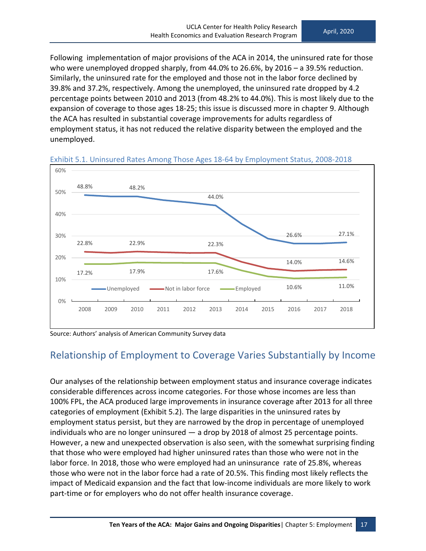Following implementation of major provisions of the ACA in 2014, the uninsured rate for those who were unemployed dropped sharply, from 44.0% to 26.6%, by 2016 – a 39.5% reduction. Similarly, the uninsured rate for the employed and those not in the labor force declined by 39.8% and 37.2%, respectively. Among the unemployed, the uninsured rate dropped by 4.2 percentage points between 2010 and 2013 (from 48.2% to 44.0%). This is most likely due to the expansion of coverage to those ages 18-25; this issue is discussed more in chapter 9. Although the ACA has resulted in substantial coverage improvements for adults regardless of employment status, it has not reduced the relative disparity between the employed and the unemployed.



Exhibit 5.1. Uninsured Rates Among Those Ages 18-64 by Employment Status, 2008-2018

Source: Authors' analysis of American Community Survey data

#### <span id="page-26-0"></span>Relationship of Employment to Coverage Varies Substantially by Income

Our analyses of the relationship between employment status and insurance coverage indicates considerable differences across income categories. For those whose incomes are less than 100% FPL, the ACA produced large improvements in insurance coverage after 2013 for all three categories of employment (Exhibit 5.2). The large disparities in the uninsured rates by employment status persist, but they are narrowed by the drop in percentage of unemployed individuals who are no longer uninsured — a drop by 2018 of almost 25 percentage points. However, a new and unexpected observation is also seen, with the somewhat surprising finding that those who were employed had higher uninsured rates than those who were not in the labor force. In 2018, those who were employed had an uninsurance rate of 25.8%, whereas those who were not in the labor force had a rate of 20.5%. This finding most likely reflects the impact of Medicaid expansion and the fact that low-income individuals are more likely to work part-time or for employers who do not offer health insurance coverage.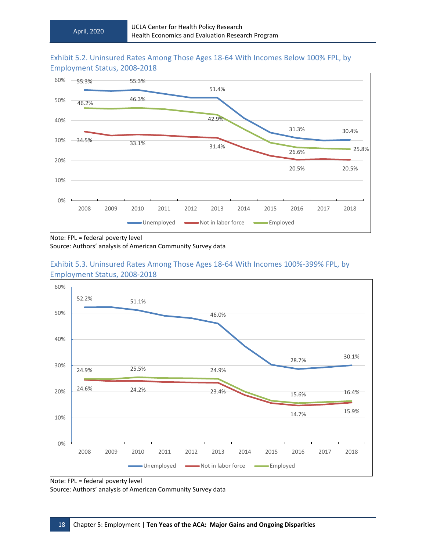#### Exhibit 5.2. Uninsured Rates Among Those Ages 18-64 With Incomes Below 100% FPL, by Employment Status, 2008-2018



Note: FPL = federal poverty level

Source: Authors' analysis of American Community Survey data



#### Exhibit 5.3. Uninsured Rates Among Those Ages 18-64 With Incomes 100%-399% FPL, by Employment Status, 2008-2018

Source: Authors' analysis of American Community Survey data

Note: FPL = federal poverty level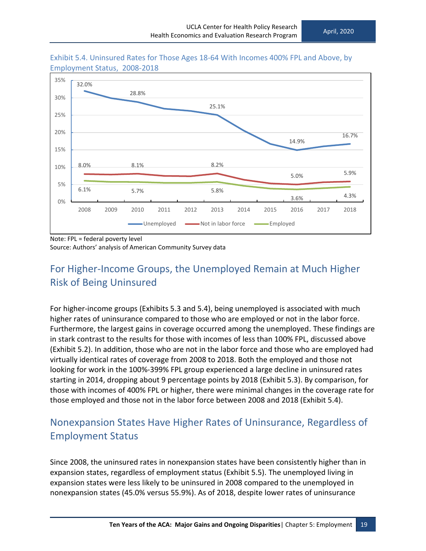

Exhibit 5.4. Uninsured Rates for Those Ages 18-64 With Incomes 400% FPL and Above, by Employment Status, 2008-2018

Note: FPL = federal poverty level

Source: Authors' analysis of American Community Survey data

### <span id="page-28-0"></span>For Higher-Income Groups, the Unemployed Remain at Much Higher Risk of Being Uninsured

For higher-income groups (Exhibits 5.3 and 5.4), being unemployed is associated with much higher rates of uninsurance compared to those who are employed or not in the labor force. Furthermore, the largest gains in coverage occurred among the unemployed. These findings are in stark contrast to the results for those with incomes of less than 100% FPL, discussed above (Exhibit 5.2). In addition, those who are not in the labor force and those who are employed had virtually identical rates of coverage from 2008 to 2018. Both the employed and those not looking for work in the 100%-399% FPL group experienced a large decline in uninsured rates starting in 2014, dropping about 9 percentage points by 2018 (Exhibit 5.3). By comparison, for those with incomes of 400% FPL or higher, there were minimal changes in the coverage rate for those employed and those not in the labor force between 2008 and 2018 (Exhibit 5.4).

### <span id="page-28-1"></span>Nonexpansion States Have Higher Rates of Uninsurance, Regardless of Employment Status

Since 2008, the uninsured rates in nonexpansion states have been consistently higher than in expansion states, regardless of employment status (Exhibit 5.5). The unemployed living in expansion states were less likely to be uninsured in 2008 compared to the unemployed in nonexpansion states (45.0% versus 55.9%). As of 2018, despite lower rates of uninsurance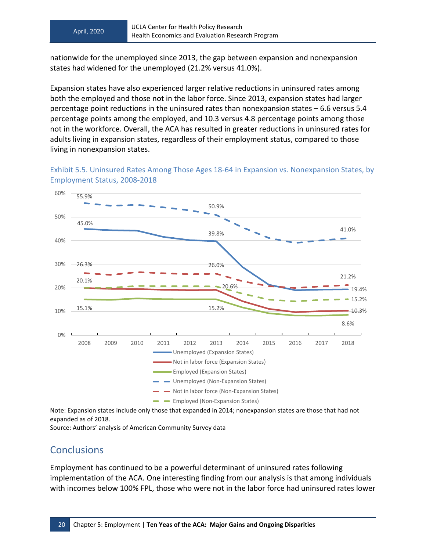nationwide for the unemployed since 2013, the gap between expansion and nonexpansion states had widened for the unemployed (21.2% versus 41.0%).

Expansion states have also experienced larger relative reductions in uninsured rates among both the employed and those not in the labor force. Since 2013, expansion states had larger percentage point reductions in the uninsured rates than nonexpansion states – 6.6 versus 5.4 percentage points among the employed, and 10.3 versus 4.8 percentage points among those not in the workforce. Overall, the ACA has resulted in greater reductions in uninsured rates for adults living in expansion states, regardless of their employment status, compared to those living in nonexpansion states.



Exhibit 5.5. Uninsured Rates Among Those Ages 18-64 in Expansion vs. Nonexpansion States, by Employment Status, 2008-2018

Note: Expansion states include only those that expanded in 2014; nonexpansion states are those that had not expanded as of 2018.

<span id="page-29-0"></span>Source: Authors' analysis of American Community Survey data

#### **Conclusions**

Employment has continued to be a powerful determinant of uninsured rates following implementation of the ACA. One interesting finding from our analysis is that among individuals with incomes below 100% FPL, those who were not in the labor force had uninsured rates lower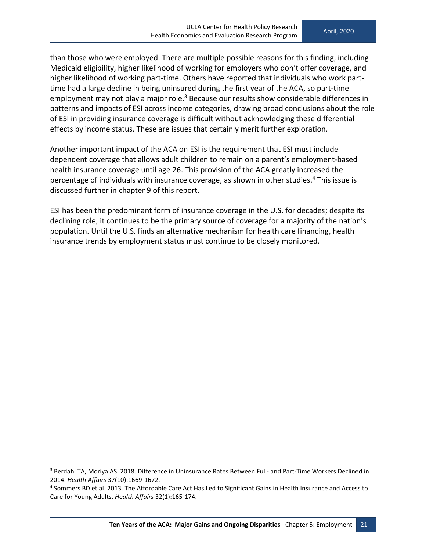than those who were employed. There are multiple possible reasons for this finding, including Medicaid eligibility, higher likelihood of working for employers who don't offer coverage, and higher likelihood of working part-time. Others have reported that individuals who work parttime had a large decline in being uninsured during the first year of the ACA, so part-time employment may not play a major role.<sup>3</sup> Because our results show considerable differences in patterns and impacts of ESI across income categories, drawing broad conclusions about the role of ESI in providing insurance coverage is difficult without acknowledging these differential effects by income status. These are issues that certainly merit further exploration.

Another important impact of the ACA on ESI is the requirement that ESI must include dependent coverage that allows adult children to remain on a parent's employment-based health insurance coverage until age 26. This provision of the ACA greatly increased the percentage of individuals with insurance coverage, as shown in other studies. <sup>4</sup> This issue is discussed further in chapter 9 of this report.

ESI has been the predominant form of insurance coverage in the U.S. for decades; despite its declining role, it continues to be the primary source of coverage for a majority of the nation's population. Until the U.S. finds an alternative mechanism for health care financing, health insurance trends by employment status must continue to be closely monitored.

<sup>&</sup>lt;sup>3</sup> Berdahl TA, Moriya AS. 2018. Difference in Uninsurance Rates Between Full- and Part-Time Workers Declined in 2014. *Health Affairs* 37(10):1669-1672.

<sup>4</sup> Sommers BD et al. 2013. The Affordable Care Act Has Led to Significant Gains in Health Insurance and Access to Care for Young Adults. *Health Affairs* 32(1):165-174.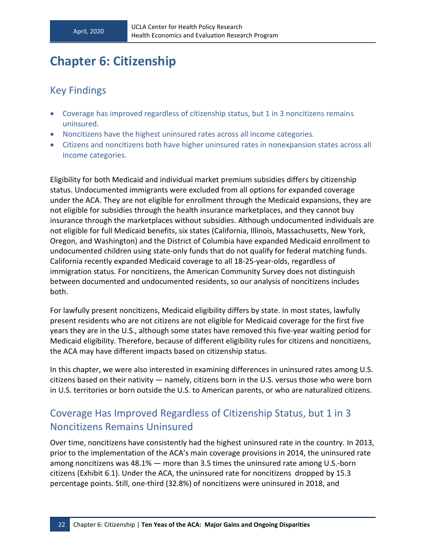# <span id="page-31-0"></span>**Chapter 6: Citizenship**

#### <span id="page-31-1"></span>Key Findings

- Coverage has improved regardless of citizenship status, but 1 in 3 noncitizens remains uninsured.
- Noncitizens have the highest uninsured rates across all income categories.
- Citizens and noncitizens both have higher uninsured rates in nonexpansion states across all income categories.

Eligibility for both Medicaid and individual market premium subsidies differs by citizenship status. Undocumented immigrants were excluded from all options for expanded coverage under the ACA. They are not eligible for enrollment through the Medicaid expansions, they are not eligible for subsidies through the health insurance marketplaces, and they cannot buy insurance through the marketplaces without subsidies. Although undocumented individuals are not eligible for full Medicaid benefits, six states (California, Illinois, Massachusetts, New York, Oregon, and Washington) and the District of Columbia have expanded Medicaid enrollment to undocumented children using state-only funds that do not qualify for federal matching funds. California recently expanded Medicaid coverage to all 18-25-year-olds, regardless of immigration status. For noncitizens, the American Community Survey does not distinguish between documented and undocumented residents, so our analysis of noncitizens includes both.

For lawfully present noncitizens, Medicaid eligibility differs by state. In most states, lawfully present residents who are not citizens are not eligible for Medicaid coverage for the first five years they are in the U.S., although some states have removed this five-year waiting period for Medicaid eligibility. Therefore, because of different eligibility rules for citizens and noncitizens, the ACA may have different impacts based on citizenship status.

In this chapter, we were also interested in examining differences in uninsured rates among U.S. citizens based on their nativity — namely, citizens born in the U.S. versus those who were born in U.S. territories or born outside the U.S. to American parents, or who are naturalized citizens.

#### <span id="page-31-2"></span>Coverage Has Improved Regardless of Citizenship Status, but 1 in 3 Noncitizens Remains Uninsured

Over time, noncitizens have consistently had the highest uninsured rate in the country. In 2013, prior to the implementation of the ACA's main coverage provisions in 2014, the uninsured rate among noncitizens was 48.1% — more than 3.5 times the uninsured rate among U.S.-born citizens (Exhibit 6.1). Under the ACA, the uninsured rate for noncitizens dropped by 15.3 percentage points. Still, one-third (32.8%) of noncitizens were uninsured in 2018, and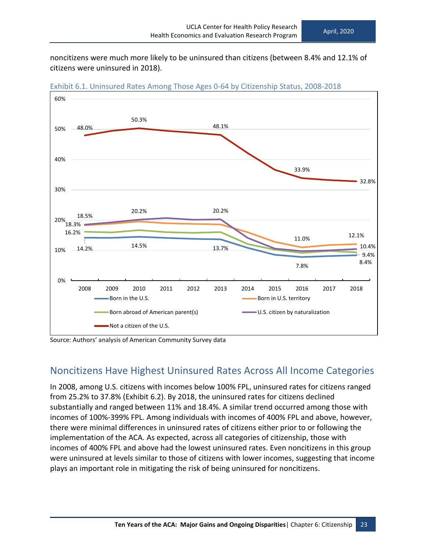noncitizens were much more likely to be uninsured than citizens (between 8.4% and 12.1% of citizens were uninsured in 2018).



Exhibit 6.1. Uninsured Rates Among Those Ages 0-64 by Citizenship Status, 2008-2018



#### <span id="page-32-0"></span>Noncitizens Have Highest Uninsured Rates Across All Income Categories

In 2008, among U.S. citizens with incomes below 100% FPL, uninsured rates for citizens ranged from 25.2% to 37.8% (Exhibit 6.2). By 2018, the uninsured rates for citizens declined substantially and ranged between 11% and 18.4%. A similar trend occurred among those with incomes of 100%-399% FPL. Among individuals with incomes of 400% FPL and above, however, there were minimal differences in uninsured rates of citizens either prior to or following the implementation of the ACA. As expected, across all categories of citizenship, those with incomes of 400% FPL and above had the lowest uninsured rates. Even noncitizens in this group were uninsured at levels similar to those of citizens with lower incomes, suggesting that income plays an important role in mitigating the risk of being uninsured for noncitizens.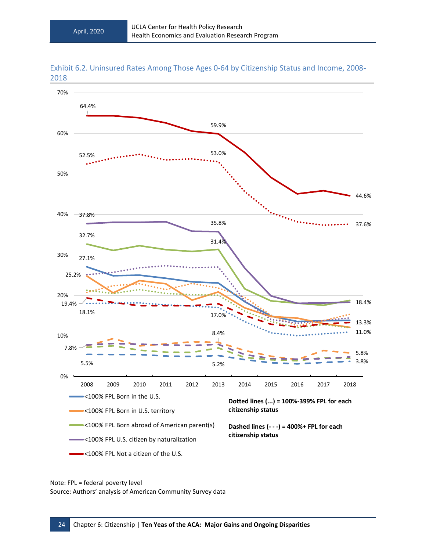

Exhibit 6.2. Uninsured Rates Among Those Ages 0-64 by Citizenship Status and Income, 2008- 2018

Note: FPL = federal poverty level

Source: Authors' analysis of American Community Survey data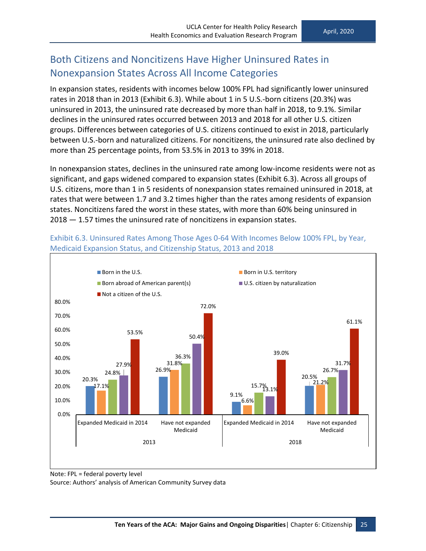#### <span id="page-34-0"></span>Both Citizens and Noncitizens Have Higher Uninsured Rates in Nonexpansion States Across All Income Categories

In expansion states, residents with incomes below 100% FPL had significantly lower uninsured rates in 2018 than in 2013 (Exhibit 6.3). While about 1 in 5 U.S.-born citizens (20.3%) was uninsured in 2013, the uninsured rate decreased by more than half in 2018, to 9.1%. Similar declines in the uninsured rates occurred between 2013 and 2018 for all other U.S. citizen groups. Differences between categories of U.S. citizens continued to exist in 2018, particularly between U.S.-born and naturalized citizens. For noncitizens, the uninsured rate also declined by more than 25 percentage points, from 53.5% in 2013 to 39% in 2018.

In nonexpansion states, declines in the uninsured rate among low-income residents were not as significant, and gaps widened compared to expansion states (Exhibit 6.3). Across all groups of U.S. citizens, more than 1 in 5 residents of nonexpansion states remained uninsured in 2018, at rates that were between 1.7 and 3.2 times higher than the rates among residents of expansion states. Noncitizens fared the worst in these states, with more than 60% being uninsured in 2018 — 1.57 times the uninsured rate of noncitizens in expansion states.

Exhibit 6.3. Uninsured Rates Among Those Ages 0-64 With Incomes Below 100% FPL, by Year, Medicaid Expansion Status, and Citizenship Status, 2013 and 2018



Note: FPL = federal poverty level

Source: Authors' analysis of American Community Survey data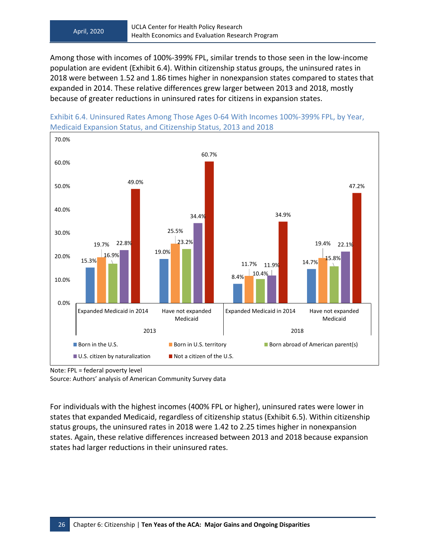Among those with incomes of 100%-399% FPL, similar trends to those seen in the low-income population are evident (Exhibit 6.4). Within citizenship status groups, the uninsured rates in 2018 were between 1.52 and 1.86 times higher in nonexpansion states compared to states that expanded in 2014. These relative differences grew larger between 2013 and 2018, mostly because of greater reductions in uninsured rates for citizens in expansion states.



Exhibit 6.4. Uninsured Rates Among Those Ages 0-64 With Incomes 100%-399% FPL, by Year, Medicaid Expansion Status, and Citizenship Status, 2013 and 2018

Source: Authors' analysis of American Community Survey data

For individuals with the highest incomes (400% FPL or higher), uninsured rates were lower in states that expanded Medicaid, regardless of citizenship status (Exhibit 6.5). Within citizenship status groups, the uninsured rates in 2018 were 1.42 to 2.25 times higher in nonexpansion states. Again, these relative differences increased between 2013 and 2018 because expansion states had larger reductions in their uninsured rates.

Note: FPL = federal poverty level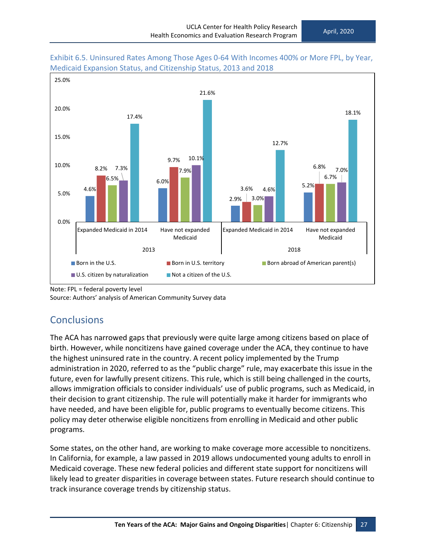



<span id="page-36-0"></span>Source: Authors' analysis of American Community Survey data

#### **Conclusions**

The ACA has narrowed gaps that previously were quite large among citizens based on place of birth. However, while noncitizens have gained coverage under the ACA, they continue to have the highest uninsured rate in the country. A recent policy implemented by the Trump administration in 2020, referred to as the "public charge" rule, may exacerbate this issue in the future, even for lawfully present citizens. This rule, which is still being challenged in the courts, allows immigration officials to consider individuals' use of public programs, such as Medicaid, in their decision to grant citizenship. The rule will potentially make it harder for immigrants who have needed, and have been eligible for, public programs to eventually become citizens. This policy may deter otherwise eligible noncitizens from enrolling in Medicaid and other public programs.

Some states, on the other hand, are working to make coverage more accessible to noncitizens. In California, for example, a law passed in 2019 allows undocumented young adults to enroll in Medicaid coverage. These new federal policies and different state support for noncitizens will likely lead to greater disparities in coverage between states. Future research should continue to track insurance coverage trends by citizenship status.

Note: FPL = federal poverty level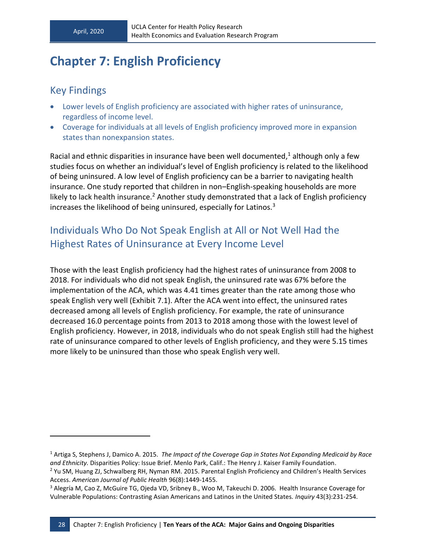# <span id="page-37-0"></span>**Chapter 7: English Proficiency**

#### <span id="page-37-1"></span>Key Findings

- Lower levels of English proficiency are associated with higher rates of uninsurance, regardless of income level.
- Coverage for individuals at all levels of English proficiency improved more in expansion states than nonexpansion states.

Racial and ethnic disparities in insurance have been well documented, $<sup>1</sup>$  although only a few</sup> studies focus on whether an individual's level of English proficiency is related to the likelihood of being uninsured. A low level of English proficiency can be a barrier to navigating health insurance. One study reported that children in non–English-speaking households are more likely to lack health insurance.<sup>2</sup> Another study demonstrated that a lack of English proficiency increases the likelihood of being uninsured, especially for Latinos.<sup>3</sup>

### <span id="page-37-2"></span>Individuals Who Do Not Speak English at All or Not Well Had the Highest Rates of Uninsurance at Every Income Level

Those with the least English proficiency had the highest rates of uninsurance from 2008 to 2018. For individuals who did not speak English, the uninsured rate was 67% before the implementation of the ACA, which was 4.41 times greater than the rate among those who speak English very well (Exhibit 7.1). After the ACA went into effect, the uninsured rates decreased among all levels of English proficiency. For example, the rate of uninsurance decreased 16.0 percentage points from 2013 to 2018 among those with the lowest level of English proficiency. However, in 2018, individuals who do not speak English still had the highest rate of uninsurance compared to other levels of English proficiency, and they were 5.15 times more likely to be uninsured than those who speak English very well.

<sup>1</sup> Artiga S, Stephens J, Damico A. 2015. *The Impact of the Coverage Gap in States Not Expanding Medicaid by Race and Ethnicity.* Disparities Policy: Issue Brief. Menlo Park, Calif.: The Henry J. Kaiser Family Foundation.

<sup>2</sup> Yu SM, Huang ZJ, Schwalberg RH, Nyman RM. 2015. Parental English Proficiency and Children's Health Services Access. *American Journal of Public Health* 96(8):1449-1455.

<sup>3</sup> Alegría M, Cao Z, McGuire TG, Ojeda VD, Sribney B., Woo M, Takeuchi D. 2006. Health Insurance Coverage for Vulnerable Populations: Contrasting Asian Americans and Latinos in the United States*. Inquiry* 43(3):231-254.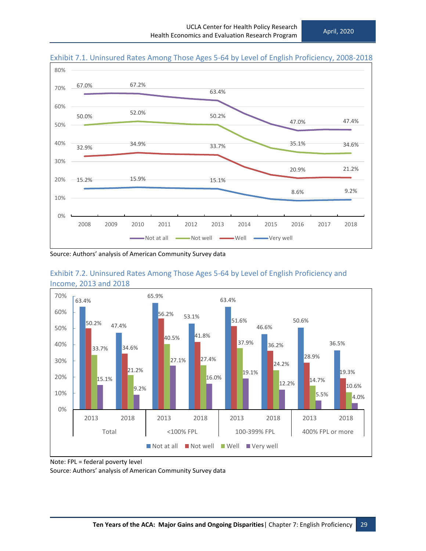

#### Exhibit 7.1. Uninsured Rates Among Those Ages 5-64 by Level of English Proficiency, 2008-2018







Note: FPL = federal poverty level

Source: Authors' analysis of American Community Survey data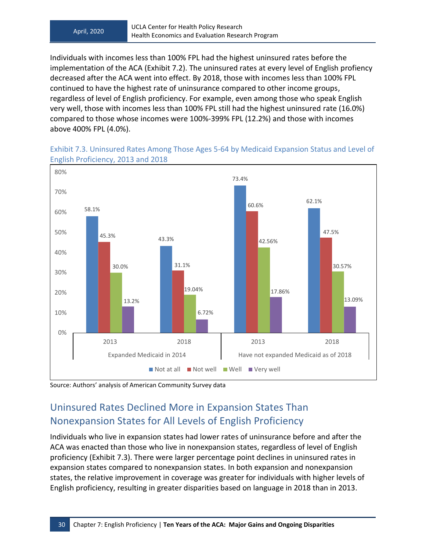Individuals with incomes less than 100% FPL had the highest uninsured rates before the implementation of the ACA (Exhibit 7.2). The uninsured rates at every level of English profiency decreased after the ACA went into effect. By 2018, those with incomes less than 100% FPL continued to have the highest rate of uninsurance compared to other income groups, regardless of level of English proficiency. For example, even among those who speak English very well, those with incomes less than 100% FPL still had the highest uninsured rate (16.0%) compared to those whose incomes were 100%-399% FPL (12.2%) and those with incomes above 400% FPL (4.0%).



Exhibit 7.3. Uninsured Rates Among Those Ages 5-64 by Medicaid Expansion Status and Level of English Proficiency, 2013 and 2018

<span id="page-39-0"></span>Source: Authors' analysis of American Community Survey data

### Uninsured Rates Declined More in Expansion States Than Nonexpansion States for All Levels of English Proficiency

Individuals who live in expansion states had lower rates of uninsurance before and after the ACA was enacted than those who live in nonexpansion states, regardless of level of English proficiency (Exhibit 7.3). There were larger percentage point declines in uninsured rates in expansion states compared to nonexpansion states. In both expansion and nonexpansion states, the relative improvement in coverage was greater for individuals with higher levels of English proficiency, resulting in greater disparities based on language in 2018 than in 2013.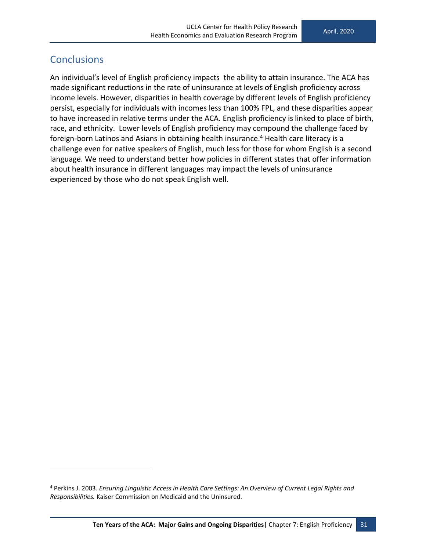#### <span id="page-40-0"></span>**Conclusions**

An individual's level of English proficiency impacts the ability to attain insurance. The ACA has made significant reductions in the rate of uninsurance at levels of English proficiency across income levels. However, disparities in health coverage by different levels of English proficiency persist, especially for individuals with incomes less than 100% FPL, and these disparities appear to have increased in relative terms under the ACA. English proficiency is linked to place of birth, race, and ethnicity. Lower levels of English proficiency may compound the challenge faced by foreign-born Latinos and Asians in obtaining health insurance.<sup>4</sup> Health care literacy is a challenge even for native speakers of English, much less for those for whom English is a second language. We need to understand better how policies in different states that offer information about health insurance in different languages may impact the levels of uninsurance experienced by those who do not speak English well.

<sup>4</sup> Perkins J. 2003. *Ensuring Linguistic Access in Health Care Settings: An Overview of Current Legal Rights and Responsibilities.* Kaiser Commission on Medicaid and the Uninsured.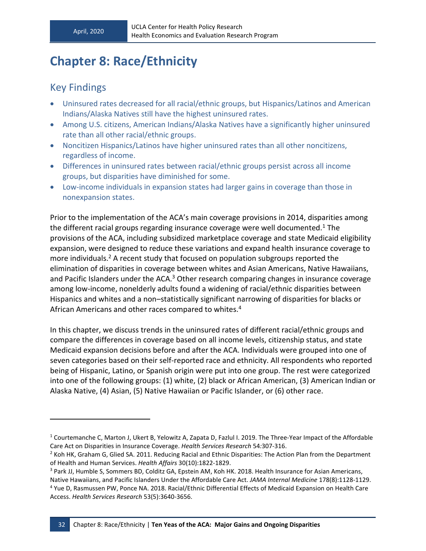# <span id="page-41-0"></span>**Chapter 8: Race/Ethnicity**

#### <span id="page-41-1"></span>Key Findings

- Uninsured rates decreased for all racial/ethnic groups, but Hispanics/Latinos and American Indians/Alaska Natives still have the highest uninsured rates.
- Among U.S. citizens, American Indians/Alaska Natives have a significantly higher uninsured rate than all other racial/ethnic groups.
- Noncitizen Hispanics/Latinos have higher uninsured rates than all other noncitizens, regardless of income.
- Differences in uninsured rates between racial/ethnic groups persist across all income groups, but disparities have diminished for some.
- Low-income individuals in expansion states had larger gains in coverage than those in nonexpansion states.

Prior to the implementation of the ACA's main coverage provisions in 2014, disparities among the different racial groups regarding insurance coverage were well documented.<sup>1</sup> The provisions of the ACA, including subsidized marketplace coverage and state Medicaid eligibility expansion, were designed to reduce these variations and expand health insurance coverage to more individuals. $2$  A recent study that focused on population subgroups reported the elimination of disparities in coverage between whites and Asian Americans, Native Hawaiians, and Pacific Islanders under the ACA. $3$  Other research comparing changes in insurance coverage among low-income, nonelderly adults found a widening of racial/ethnic disparities between Hispanics and whites and a non–statistically significant narrowing of disparities for blacks or African Americans and other races compared to whites.<sup>4</sup>

In this chapter, we discuss trends in the uninsured rates of different racial/ethnic groups and compare the differences in coverage based on all income levels, citizenship status, and state Medicaid expansion decisions before and after the ACA. Individuals were grouped into one of seven categories based on their self-reported race and ethnicity. All respondents who reported being of Hispanic, Latino, or Spanish origin were put into one group. The rest were categorized into one of the following groups: (1) white, (2) black or African American, (3) American Indian or Alaska Native, (4) Asian, (5) Native Hawaiian or Pacific Islander, or (6) other race.

<sup>1</sup> Courtemanche C, Marton J, Ukert B, Yelowitz A, Zapata D, Fazlul I. 2019. The Three-Year Impact of the Affordable Care Act on Disparities in Insurance Coverage. *Health Services Research* 54*:*307-316.

<sup>&</sup>lt;sup>2</sup> Koh HK, Graham G, Glied SA. 2011. Reducing Racial and Ethnic Disparities: The Action Plan from the Department of Health and Human Services. *Health Affairs* 30(10):1822-1829.

<sup>&</sup>lt;sup>3</sup> Park JJ, Humble S, Sommers BD, Colditz GA, Epstein AM, Koh HK. 2018. Health Insurance for Asian Americans,

Native Hawaiians, and Pacific Islanders Under the Affordable Care Act. *JAMA Internal Medicine* 178(8):1128-1129. <sup>4</sup> Yue D, Rasmussen PW, Ponce NA. 2018. Racial/Ethnic Differential Effects of Medicaid Expansion on Health Care Access. *Health Services Research* 53(5):3640-3656.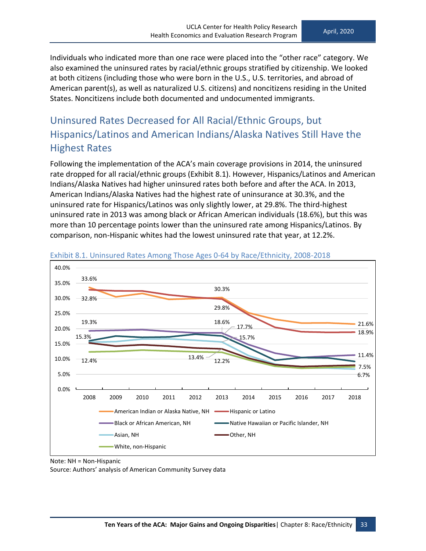Individuals who indicated more than one race were placed into the "other race" category. We also examined the uninsured rates by racial/ethnic groups stratified by citizenship. We looked at both citizens (including those who were born in the U.S., U.S. territories, and abroad of American parent(s), as well as naturalized U.S. citizens) and noncitizens residing in the United States. Noncitizens include both documented and undocumented immigrants.

### <span id="page-42-0"></span>Uninsured Rates Decreased for All Racial/Ethnic Groups, but Hispanics/Latinos and American Indians/Alaska Natives Still Have the Highest Rates

Following the implementation of the ACA's main coverage provisions in 2014, the uninsured rate dropped for all racial/ethnic groups (Exhibit 8.1). However, Hispanics/Latinos and American Indians/Alaska Natives had higher uninsured rates both before and after the ACA. In 2013, American Indians/Alaska Natives had the highest rate of uninsurance at 30.3%, and the uninsured rate for Hispanics/Latinos was only slightly lower, at 29.8%. The third-highest uninsured rate in 2013 was among black or African American individuals (18.6%), but this was more than 10 percentage points lower than the uninsured rate among Hispanics/Latinos. By comparison, non-Hispanic whites had the lowest uninsured rate that year, at 12.2%.





Note: NH = Non-Hispanic

Source: Authors' analysis of American Community Survey data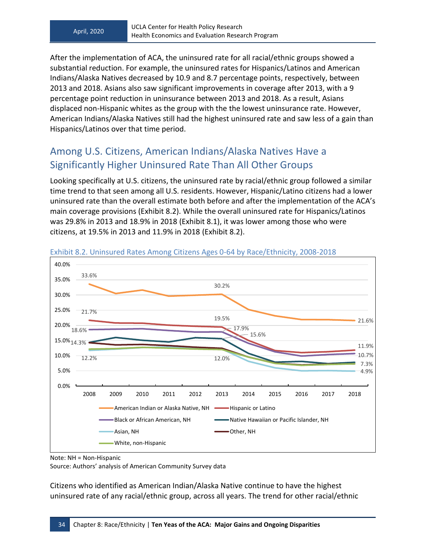After the implementation of ACA, the uninsured rate for all racial/ethnic groups showed a substantial reduction. For example, the uninsured rates for Hispanics/Latinos and American Indians/Alaska Natives decreased by 10.9 and 8.7 percentage points, respectively, between 2013 and 2018. Asians also saw significant improvements in coverage after 2013, with a 9 percentage point reduction in uninsurance between 2013 and 2018. As a result, Asians displaced non-Hispanic whites as the group with the the lowest uninsurance rate. However, American Indians/Alaska Natives still had the highest uninsured rate and saw less of a gain than Hispanics/Latinos over that time period.

#### <span id="page-43-0"></span>Among U.S. Citizens, American Indians/Alaska Natives Have a Significantly Higher Uninsured Rate Than All Other Groups

Looking specifically at U.S. citizens, the uninsured rate by racial/ethnic group followed a similar time trend to that seen among all U.S. residents. However, Hispanic/Latino citizens had a lower uninsured rate than the overall estimate both before and after the implementation of the ACA's main coverage provisions (Exhibit 8.2). While the overall uninsured rate for Hispanics/Latinos was 29.8% in 2013 and 18.9% in 2018 (Exhibit 8.1), it was lower among those who were citizens, at 19.5% in 2013 and 11.9% in 2018 (Exhibit 8.2).





Note: NH = Non-Hispanic

Source: Authors' analysis of American Community Survey data

Citizens who identified as American Indian/Alaska Native continue to have the highest uninsured rate of any racial/ethnic group, across all years. The trend for other racial/ethnic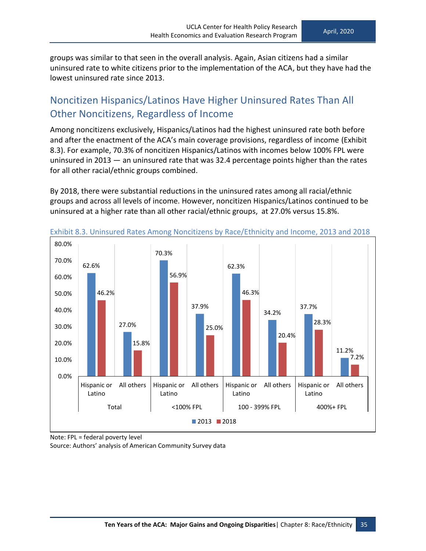groups was similar to that seen in the overall analysis. Again, Asian citizens had a similar uninsured rate to white citizens prior to the implementation of the ACA, but they have had the lowest uninsured rate since 2013.

#### <span id="page-44-0"></span>Noncitizen Hispanics/Latinos Have Higher Uninsured Rates Than All Other Noncitizens, Regardless of Income

Among noncitizens exclusively, Hispanics/Latinos had the highest uninsured rate both before and after the enactment of the ACA's main coverage provisions, regardless of income (Exhibit 8.3). For example, 70.3% of noncitizen Hispanics/Latinos with incomes below 100% FPL were uninsured in 2013 — an uninsured rate that was 32.4 percentage points higher than the rates for all other racial/ethnic groups combined.

By 2018, there were substantial reductions in the uninsured rates among all racial/ethnic groups and across all levels of income. However, noncitizen Hispanics/Latinos continued to be uninsured at a higher rate than all other racial/ethnic groups, at 27.0% versus 15.8%.



Exhibit 8.3. Uninsured Rates Among Noncitizens by Race/Ethnicity and Income, 2013 and 2018

Note: FPL = federal poverty level Source: Authors' analysis of American Community Survey data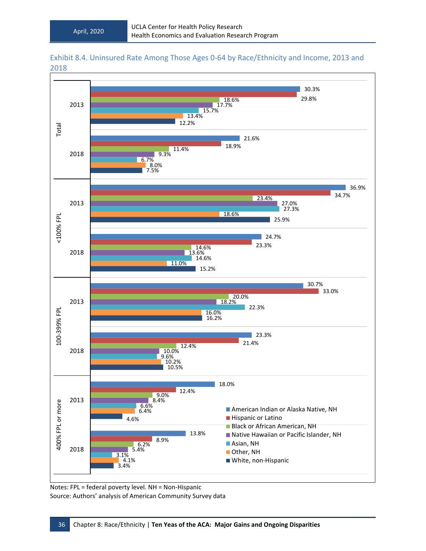![](_page_45_Figure_2.jpeg)

![](_page_45_Figure_3.jpeg)

![](_page_45_Figure_4.jpeg)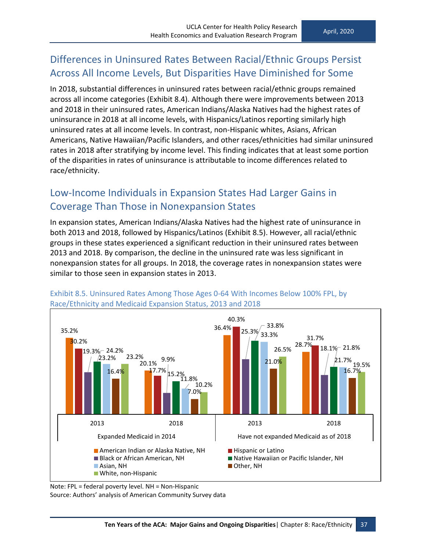### <span id="page-46-0"></span>Differences in Uninsured Rates Between Racial/Ethnic Groups Persist Across All Income Levels, But Disparities Have Diminished for Some

In 2018, substantial differences in uninsured rates between racial/ethnic groups remained across all income categories (Exhibit 8.4). Although there were improvements between 2013 and 2018 in their uninsured rates, American Indians/Alaska Natives had the highest rates of uninsurance in 2018 at all income levels, with Hispanics/Latinos reporting similarly high uninsured rates at all income levels. In contrast, non-Hispanic whites, Asians, African Americans, Native Hawaiian/Pacific Islanders, and other races/ethnicities had similar uninsured rates in 2018 after stratifying by income level. This finding indicates that at least some portion of the disparities in rates of uninsurance is attributable to income differences related to race/ethnicity.

#### <span id="page-46-1"></span>Low-Income Individuals in Expansion States Had Larger Gains in Coverage Than Those in Nonexpansion States

In expansion states, American Indians/Alaska Natives had the highest rate of uninsurance in both 2013 and 2018, followed by Hispanics/Latinos (Exhibit 8.5). However, all racial/ethnic groups in these states experienced a significant reduction in their uninsured rates between 2013 and 2018. By comparison, the decline in the uninsured rate was less significant in nonexpansion states for all groups. In 2018, the coverage rates in nonexpansion states were similar to those seen in expansion states in 2013.

![](_page_46_Figure_6.jpeg)

Exhibit 8.5. Uninsured Rates Among Those Ages 0-64 With Incomes Below 100% FPL, by Race/Ethnicity and Medicaid Expansion Status, 2013 and 2018

Note: FPL = federal poverty level. NH = Non-Hispanic Source: Authors' analysis of American Community Survey data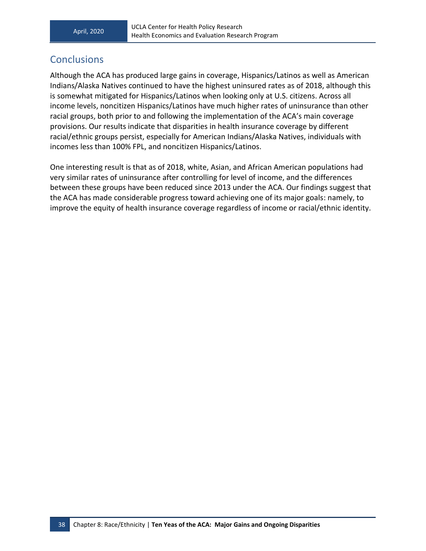#### <span id="page-47-0"></span>**Conclusions**

Although the ACA has produced large gains in coverage, Hispanics/Latinos as well as American Indians/Alaska Natives continued to have the highest uninsured rates as of 2018, although this is somewhat mitigated for Hispanics/Latinos when looking only at U.S. citizens. Across all income levels, noncitizen Hispanics/Latinos have much higher rates of uninsurance than other racial groups, both prior to and following the implementation of the ACA's main coverage provisions. Our results indicate that disparities in health insurance coverage by different racial/ethnic groups persist, especially for American Indians/Alaska Natives, individuals with incomes less than 100% FPL, and noncitizen Hispanics/Latinos.

One interesting result is that as of 2018, white, Asian, and African American populations had very similar rates of uninsurance after controlling for level of income, and the differences between these groups have been reduced since 2013 under the ACA. Our findings suggest that the ACA has made considerable progress toward achieving one of its major goals: namely, to improve the equity of health insurance coverage regardless of income or racial/ethnic identity.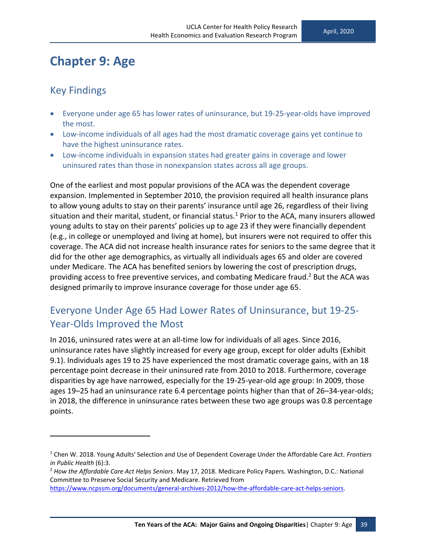### <span id="page-48-0"></span>**Chapter 9: Age**

#### <span id="page-48-1"></span>Key Findings

- Everyone under age 65 has lower rates of uninsurance, but 19-25-year-olds have improved the most.
- Low-income individuals of all ages had the most dramatic coverage gains yet continue to have the highest uninsurance rates.
- Low-income individuals in expansion states had greater gains in coverage and lower uninsured rates than those in nonexpansion states across all age groups.

One of the earliest and most popular provisions of the ACA was the dependent coverage expansion. Implemented in September 2010, the provision required all health insurance plans to allow young adults to stay on their parents' insurance until age 26, regardless of their living situation and their marital, student, or financial status.<sup>1</sup> Prior to the ACA, many insurers allowed young adults to stay on their parents' policies up to age 23 if they were financially dependent (e.g., in college or unemployed and living at home), but insurers were not required to offer this coverage. The ACA did not increase health insurance rates for seniors to the same degree that it did for the other age demographics, as virtually all individuals ages 65 and older are covered under Medicare. The ACA has benefited seniors by lowering the cost of prescription drugs, providing access to free preventive services, and combating Medicare fraud.<sup>2</sup> But the ACA was designed primarily to improve insurance coverage for those under age 65.

### <span id="page-48-2"></span>Everyone Under Age 65 Had Lower Rates of Uninsurance, but 19-25- Year-Olds Improved the Most

In 2016, uninsured rates were at an all-time low for individuals of all ages. Since 2016, uninsurance rates have slightly increased for every age group, except for older adults (Exhibit 9.1). Individuals ages 19 to 25 have experienced the most dramatic coverage gains, with an 18 percentage point decrease in their uninsured rate from 2010 to 2018. Furthermore, coverage disparities by age have narrowed, especially for the 19-25-year-old age group: In 2009, those ages 19–25 had an uninsurance rate 6.4 percentage points higher than that of 26–34-year-olds; in 2018, the difference in uninsurance rates between these two age groups was 0.8 percentage points.

[https://www.ncpssm.org/documents/general-archives-2012/how-the-affordable-care-act-helps-seniors.](https://www.ncpssm.org/documents/general-archives-2012/how-the-affordable-care-act-helps-seniors)

<sup>1</sup> Chen W. 2018. Young Adults' Selection and Use of Dependent Coverage Under the Affordable Care Act. *Frontiers in Public Health* (6):3.

<sup>2</sup> *How the Affordable Care Act Helps Seniors*. May 17, 2018. Medicare Policy Papers. Washington, D.C.: National Committee to Preserve Social Security and Medicare. Retrieved from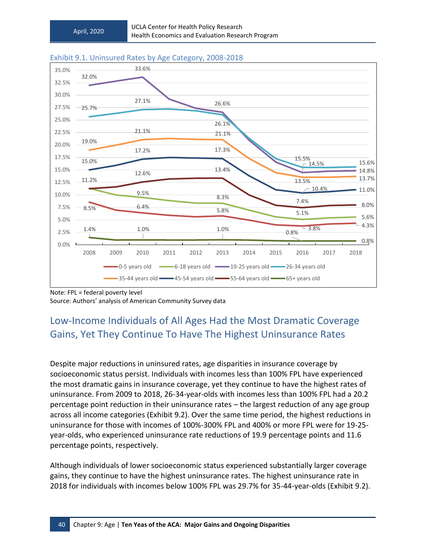![](_page_49_Figure_2.jpeg)

#### Exhibit 9.1. Uninsured Rates by Age Category, 2008-2018

Note: FPL = federal poverty level Source: Authors' analysis of American Community Survey data

### <span id="page-49-0"></span>Low-Income Individuals of All Ages Had the Most Dramatic Coverage Gains, Yet They Continue To Have The Highest Uninsurance Rates

Despite major reductions in uninsured rates, age disparities in insurance coverage by socioeconomic status persist. Individuals with incomes less than 100% FPL have experienced the most dramatic gains in insurance coverage, yet they continue to have the highest rates of uninsurance. From 2009 to 2018, 26-34-year-olds with incomes less than 100% FPL had a 20.2 percentage point reduction in their uninsurance rates – the largest reduction of any age group across all income categories (Exhibit 9.2). Over the same time period, the highest reductions in uninsurance for those with incomes of 100%-300% FPL and 400% or more FPL were for 19-25 year-olds, who experienced uninsurance rate reductions of 19.9 percentage points and 11.6 percentage points, respectively.

Although individuals of lower socioeconomic status experienced substantially larger coverage gains, they continue to have the highest uninsurance rates. The highest uninsurance rate in 2018 for individuals with incomes below 100% FPL was 29.7% for 35-44-year-olds (Exhibit 9.2).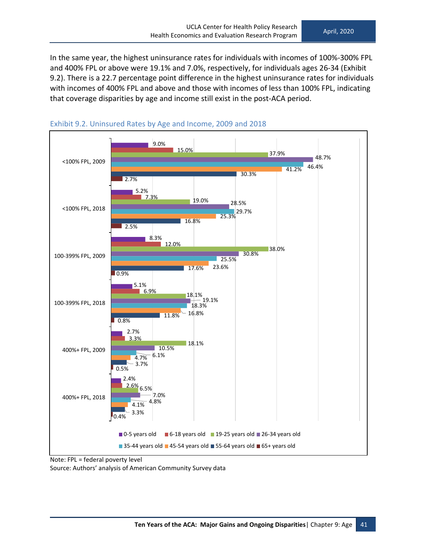In the same year, the highest uninsurance rates for individuals with incomes of 100%-300% FPL and 400% FPL or above were 19.1% and 7.0%, respectively, for individuals ages 26-34 (Exhibit 9.2). There is a 22.7 percentage point difference in the highest uninsurance rates for individuals with incomes of 400% FPL and above and those with incomes of less than 100% FPL, indicating that coverage disparities by age and income still exist in the post-ACA period.

![](_page_50_Figure_3.jpeg)

![](_page_50_Figure_4.jpeg)

Note: FPL = federal poverty level Source: Authors' analysis of American Community Survey data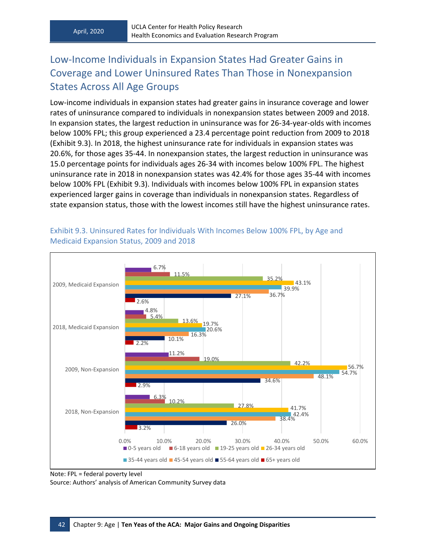### <span id="page-51-0"></span>Low-Income Individuals in Expansion States Had Greater Gains in Coverage and Lower Uninsured Rates Than Those in Nonexpansion States Across All Age Groups

Low-income individuals in expansion states had greater gains in insurance coverage and lower rates of uninsurance compared to individuals in nonexpansion states between 2009 and 2018. In expansion states, the largest reduction in uninsurance was for 26-34-year-olds with incomes below 100% FPL; this group experienced a 23.4 percentage point reduction from 2009 to 2018 (Exhibit 9.3). In 2018, the highest uninsurance rate for individuals in expansion states was 20.6%, for those ages 35-44. In nonexpansion states, the largest reduction in uninsurance was 15.0 percentage points for individuals ages 26-34 with incomes below 100% FPL. The highest uninsurance rate in 2018 in nonexpansion states was 42.4% for those ages 35-44 with incomes below 100% FPL (Exhibit 9.3). Individuals with incomes below 100% FPL in expansion states experienced larger gains in coverage than individuals in nonexpansion states. Regardless of state expansion status, those with the lowest incomes still have the highest uninsurance rates.

![](_page_51_Figure_4.jpeg)

#### Exhibit 9.3. Uninsured Rates for Individuals With Incomes Below 100% FPL, by Age and Medicaid Expansion Status, 2009 and 2018

Source: Authors' analysis of American Community Survey data

Note: FPL = federal poverty level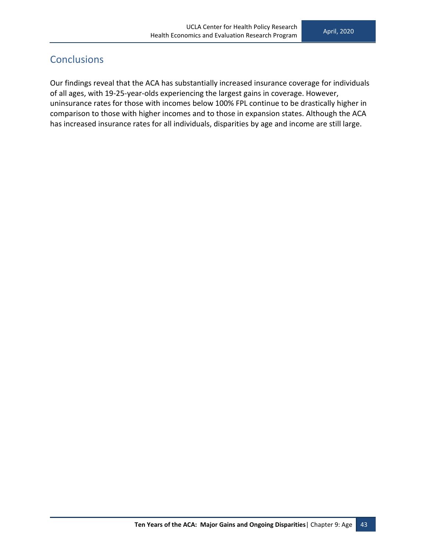#### <span id="page-52-0"></span>**Conclusions**

Our findings reveal that the ACA has substantially increased insurance coverage for individuals of all ages, with 19-25-year-olds experiencing the largest gains in coverage. However, uninsurance rates for those with incomes below 100% FPL continue to be drastically higher in comparison to those with higher incomes and to those in expansion states. Although the ACA has increased insurance rates for all individuals, disparities by age and income are still large.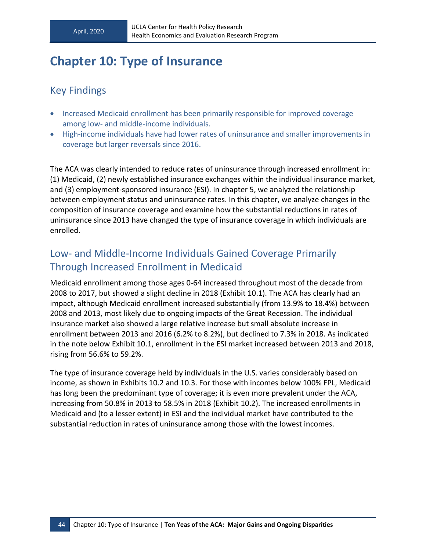# <span id="page-53-0"></span>**Chapter 10: Type of Insurance**

#### <span id="page-53-1"></span>Key Findings

- Increased Medicaid enrollment has been primarily responsible for improved coverage among low- and middle-income individuals.
- High-income individuals have had lower rates of uninsurance and smaller improvements in coverage but larger reversals since 2016.

The ACA was clearly intended to reduce rates of uninsurance through increased enrollment in: (1) Medicaid, (2) newly established insurance exchanges within the individual insurance market, and (3) employment-sponsored insurance (ESI). In chapter 5, we analyzed the relationship between employment status and uninsurance rates. In this chapter, we analyze changes in the composition of insurance coverage and examine how the substantial reductions in rates of uninsurance since 2013 have changed the type of insurance coverage in which individuals are enrolled.

#### <span id="page-53-2"></span>Low- and Middle-Income Individuals Gained Coverage Primarily Through Increased Enrollment in Medicaid

Medicaid enrollment among those ages 0-64 increased throughout most of the decade from 2008 to 2017, but showed a slight decline in 2018 (Exhibit 10.1). The ACA has clearly had an impact, although Medicaid enrollment increased substantially (from 13.9% to 18.4%) between 2008 and 2013, most likely due to ongoing impacts of the Great Recession. The individual insurance market also showed a large relative increase but small absolute increase in enrollment between 2013 and 2016 (6.2% to 8.2%), but declined to 7.3% in 2018. As indicated in the note below Exhibit 10.1, enrollment in the ESI market increased between 2013 and 2018, rising from 56.6% to 59.2%.

The type of insurance coverage held by individuals in the U.S. varies considerably based on income, as shown in Exhibits 10.2 and 10.3. For those with incomes below 100% FPL, Medicaid has long been the predominant type of coverage; it is even more prevalent under the ACA, increasing from 50.8% in 2013 to 58.5% in 2018 (Exhibit 10.2). The increased enrollments in Medicaid and (to a lesser extent) in ESI and the individual market have contributed to the substantial reduction in rates of uninsurance among those with the lowest incomes.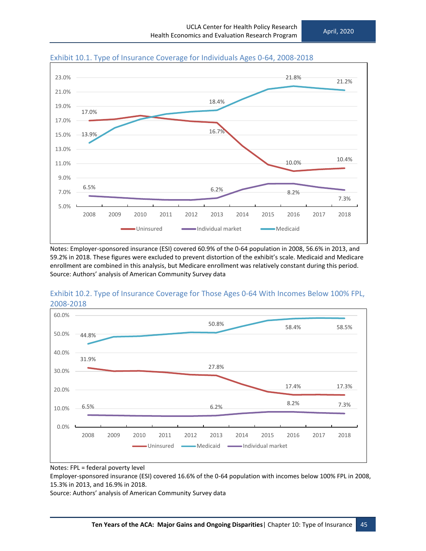![](_page_54_Figure_2.jpeg)

Exhibit 10.1. Type of Insurance Coverage for Individuals Ages 0-64, 2008-2018

Notes: Employer-sponsored insurance (ESI) covered 60.9% of the 0-64 population in 2008, 56.6% in 2013, and 59.2% in 2018. These figures were excluded to prevent distortion of the exhibit's scale. Medicaid and Medicare enrollment are combined in this analysis, but Medicare enrollment was relatively constant during this period. Source: Authors' analysis of American Community Survey data

![](_page_54_Figure_5.jpeg)

Exhibit 10.2. Type of Insurance Coverage for Those Ages 0-64 With Incomes Below 100% FPL, 2008-2018

Notes: FPL = federal poverty level

Employer-sponsored insurance (ESI) covered 16.6% of the 0-64 population with incomes below 100% FPL in 2008, 15.3% in 2013, and 16.9% in 2018.

Source: Authors' analysis of American Community Survey data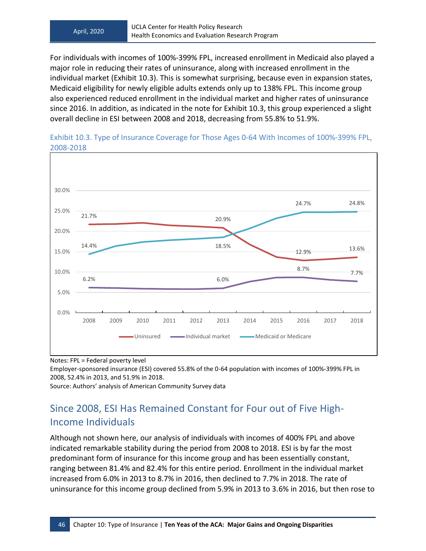For individuals with incomes of 100%-399% FPL, increased enrollment in Medicaid also played a major role in reducing their rates of uninsurance, along with increased enrollment in the individual market (Exhibit 10.3). This is somewhat surprising, because even in expansion states, Medicaid eligibility for newly eligible adults extends only up to 138% FPL. This income group also experienced reduced enrollment in the individual market and higher rates of uninsurance since 2016. In addition, as indicated in the note for Exhibit 10.3, this group experienced a slight overall decline in ESI between 2008 and 2018, decreasing from 55.8% to 51.9%.

![](_page_55_Figure_3.jpeg)

Exhibit 10.3. Type of Insurance Coverage for Those Ages 0-64 With Incomes of 100%-399% FPL, 2008-2018

Notes: FPL = Federal poverty level

Employer-sponsored insurance (ESI) covered 55.8% of the 0-64 population with incomes of 100%-399% FPL in 2008, 52.4% in 2013, and 51.9% in 2018.

<span id="page-55-0"></span>Source: Authors' analysis of American Community Survey data

### Since 2008, ESI Has Remained Constant for Four out of Five High-Income Individuals

Although not shown here, our analysis of individuals with incomes of 400% FPL and above indicated remarkable stability during the period from 2008 to 2018. ESI is by far the most predominant form of insurance for this income group and has been essentially constant, ranging between 81.4% and 82.4% for this entire period. Enrollment in the individual market increased from 6.0% in 2013 to 8.7% in 2016, then declined to 7.7% in 2018. The rate of uninsurance for this income group declined from 5.9% in 2013 to 3.6% in 2016, but then rose to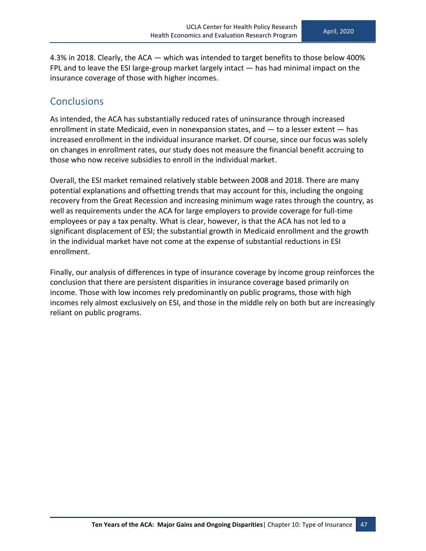4.3% in 2018. Clearly, the ACA — which was intended to target benefits to those below 400% FPL and to leave the ESI large-group market largely intact — has had minimal impact on the insurance coverage of those with higher incomes.

#### <span id="page-56-0"></span>**Conclusions**

As intended, the ACA has substantially reduced rates of uninsurance through increased enrollment in state Medicaid, even in nonexpansion states, and  $-$  to a lesser extent  $-$  has increased enrollment in the individual insurance market. Of course, since our focus was solely on changes in enrollment rates, our study does not measure the financial benefit accruing to those who now receive subsidies to enroll in the individual market.

Overall, the ESI market remained relatively stable between 2008 and 2018. There are many potential explanations and offsetting trends that may account for this, including the ongoing recovery from the Great Recession and increasing minimum wage rates through the country, as well as requirements under the ACA for large employers to provide coverage for full-time employees or pay a tax penalty. What is clear, however, is that the ACA has not led to a significant displacement of ESI; the substantial growth in Medicaid enrollment and the growth in the individual market have not come at the expense of substantial reductions in ESI enrollment.

Finally, our analysis of differences in type of insurance coverage by income group reinforces the conclusion that there are persistent disparities in insurance coverage based primarily on income. Those with low incomes rely predominantly on public programs, those with high incomes rely almost exclusively on ESI, and those in the middle rely on both but are increasingly reliant on public programs.